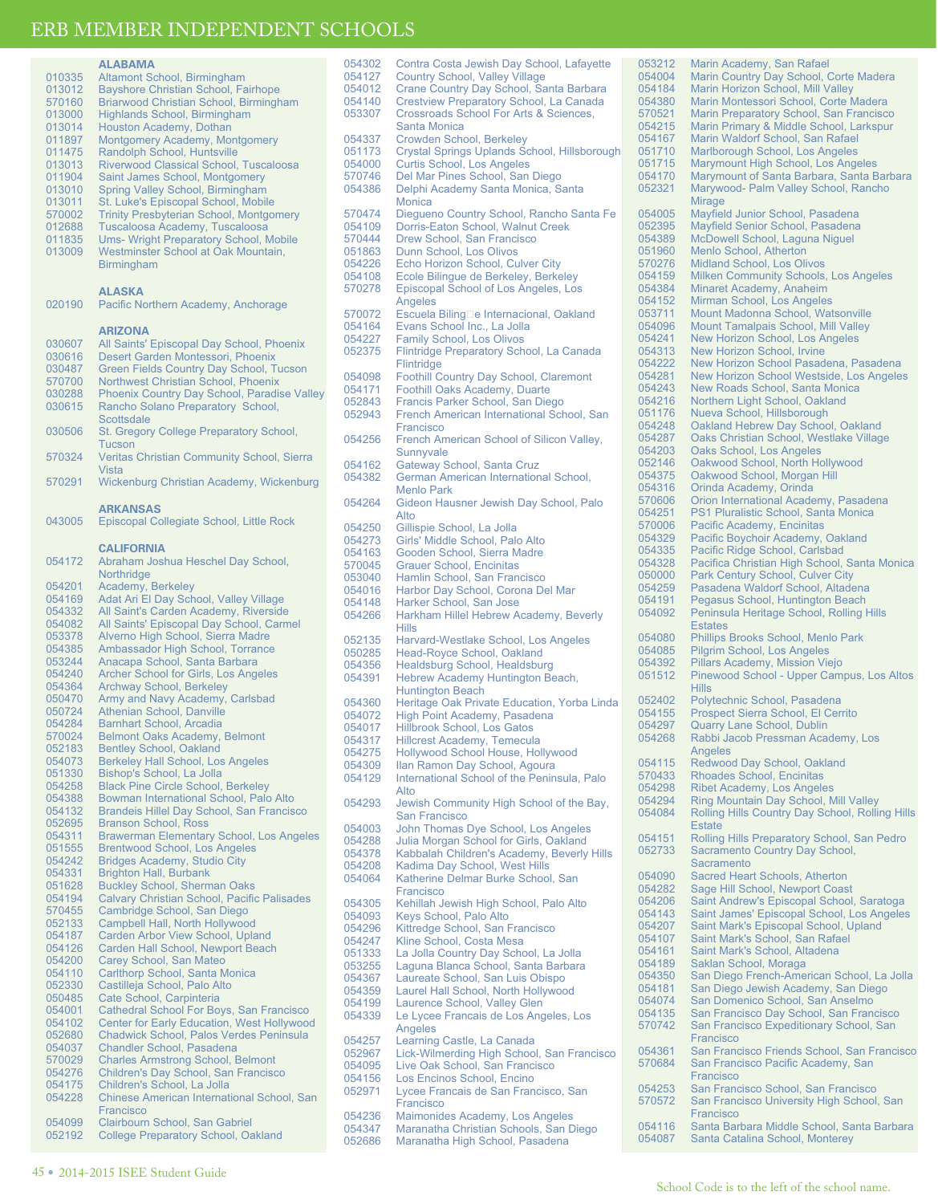|                  | <b>ALABAMA</b>                                                                      |
|------------------|-------------------------------------------------------------------------------------|
| 010335           | Altamont School, Birmingham                                                         |
| 013012           | <b>Bayshore Christian School, Fairhope</b>                                          |
| 570160           | Briarwood Christian School, Birmingham                                              |
| 013000           | <b>Highlands School, Birmingham</b>                                                 |
| 013014           | Houston Academy, Dothan                                                             |
| 011897           | Montgomery Academy, Montgomery                                                      |
| 011475           | Randolph School, Huntsville                                                         |
| 013013           | Riverwood Classical School, Tuscaloosa                                              |
| 011904           | Saint James School, Montgomery                                                      |
| 013010           | Spring Valley School, Birmingham                                                    |
| 013011           | St. Luke's Episcopal School, Mobile                                                 |
| 570002<br>012688 | <b>Trinity Presbyterian School, Montgomery</b><br>Tuscaloosa Academy, Tuscaloosa    |
| 011835           | <b>Ums- Wright Preparatory School, Mobile</b>                                       |
| 013009           | Westminster School at Oak Mountain,                                                 |
|                  | Birmingham                                                                          |
|                  |                                                                                     |
|                  | ALASKA                                                                              |
| 020190           | Pacific Northern Academy, Anchorage                                                 |
|                  |                                                                                     |
|                  | <b>ARIZONA</b>                                                                      |
| 030607           | All Saints' Episcopal Day School, Phoenix                                           |
| 030616           | Desert Garden Montessori, Phoenix                                                   |
| 030487           | <b>Green Fields Country Day School, Tucson</b>                                      |
| 570700           | Northwest Christian School, Phoenix                                                 |
| 030288           | Phoenix Country Day School, Paradise Valley                                         |
| 030615           | Rancho Solano Preparatory School,                                                   |
|                  | Scottsdale                                                                          |
| 030506           | St. Gregory College Preparatory School,                                             |
|                  | Tucson                                                                              |
| 570324           | Veritas Christian Community School, Sierra                                          |
|                  | Vista                                                                               |
| 570291           | Wickenburg Christian Academy, Wickenburg                                            |
|                  |                                                                                     |
|                  | <b>ARKANSAS</b>                                                                     |
| 043005           | Episcopal Collegiate School, Little Rock                                            |
|                  |                                                                                     |
|                  | <b>CALIFORNIA</b>                                                                   |
| 054172           | Abraham Joshua Heschel Day School,                                                  |
| 054201           | Northridge                                                                          |
| 054169           | Academy, Berkeley<br>Adat Ari El Day School, Valley Village                         |
| 054332           | All Saint's Carden Academy, Riverside                                               |
| 054082           | All Saints' Episcopal Day School, Carmel                                            |
| 053378           | Alverno High School, Sierra Madre                                                   |
| 054385           | Ambassador High School, Torrance                                                    |
| 053244           | Anacapa School, Santa Barbara                                                       |
| 054240           | <b>Archer School for Girls, Los Angeles</b>                                         |
| 054364           | <b>Archway School, Berkeley</b>                                                     |
| 050470           | Army and Navy Academy, Carlsbad                                                     |
| 050724           | Athenian School, Danville                                                           |
| 054284           | <b>Barnhart School, Arcadia</b>                                                     |
| 570024           | <b>Belmont Oaks Academy, Belmont</b>                                                |
| 052183           | <b>Bentley School, Oakland</b>                                                      |
| 054073           | <b>Berkeley Hall School, Los Angeles</b>                                            |
| 051330           | Bishop's School, La Jolla                                                           |
| 054258<br>054388 | <b>Black Pine Circle School, Berkeley</b><br>Bowman International School, Palo Alto |
| 054132           | Brandeis Hillel Day School, San Francisco                                           |
| 052695           | <b>Branson School, Ross</b>                                                         |
| 054311           | <b>Brawerman Elementary School, Los Angeles</b>                                     |
| 051555           | <b>Brentwood School, Los Angeles</b>                                                |
| 054242           | <b>Bridges Academy, Studio City</b>                                                 |
| 054331           | <b>Brighton Hall, Burbank</b>                                                       |
| 051628           | <b>Buckley School, Sherman Oaks</b>                                                 |
| 054194           | <b>Calvary Christian School, Pacific Palisades</b>                                  |
| 570455           | Cambridge School, San Diego                                                         |
| 052133           | Campbell Hall, North Hollywood                                                      |
| 054187           | Carden Arbor View School, Upland                                                    |
| 054126           | Carden Hall School, Newport Beach                                                   |
| 054200           | Carey School, San Mateo                                                             |
| 054110<br>052330 | Carlthorp School, Santa Monica<br>Castilleja School, Palo Alto                      |
| 050485           |                                                                                     |
| 054001           | Cate School, Carpinteria<br>Cathedral School For Boys, San Francisco                |
| 054102           | Center for Early Education, West Hollywood                                          |
| 052680           | Chadwick School, Palos Verdes Peninsula                                             |
| 054037           | <b>Chandler School, Pasadena</b>                                                    |
| 570029           | <b>Charles Armstrong School, Belmont</b>                                            |
| 054276           | Children's Day School, San Francisco                                                |
| 054175           | Children's School, La Jolla                                                         |
| 054228           | Chinese American International School, San                                          |
|                  | Francisco                                                                           |
| 054099           | Clairbourn School, San Gabriel                                                      |
| 052192           | <b>College Preparatory School, Oakland</b>                                          |

| 054302 | Contra Costa Jewish Day School, Lafayette                 | 0           |
|--------|-----------------------------------------------------------|-------------|
| 054127 | <b>Country School, Valley Village</b>                     | $\mathbf 0$ |
| 054012 | Crane Country Day School, Santa Barbara                   | O           |
| 054140 | Crestview Preparatory School, La Canada                   | O           |
| 053307 | <b>Crossroads School For Arts &amp; Sciences,</b>         | 5           |
|        | Santa Monica                                              | 0           |
| 054337 | <b>Crowden School, Berkeley</b>                           | O           |
| 051173 | Crystal Springs Uplands School, Hillsborough              | O           |
| 054000 | <b>Curtis School, Los Angeles</b>                         | 0           |
| 570746 | Del Mar Pines School, San Diego                           | 0           |
| 054386 | Delphi Academy Santa Monica, Santa                        | O           |
|        | Monica                                                    |             |
| 570474 | Diegueno Country School, Rancho Santa Fe                  | 0           |
| 054109 | Dorris-Eaton School, Walnut Creek                         | 0           |
| 570444 | Drew School, San Francisco                                | 0           |
| 051863 | Dunn School, Los Olivos                                   | 0           |
| 054226 | Echo Horizon School, Culver City                          | 5           |
| 054108 | Ecole Bilinque de Berkeley, Berkeley                      | 0           |
| 570278 | Episcopal School of Los Angeles, Los                      | 0           |
|        | Angeles                                                   | 0           |
| 570072 | Escuela Biling□e Internacional, Oakland                   | 0           |
| 054164 | Evans School Inc., La Jolla                               | 0           |
| 054227 | <b>Family School, Los Olivos</b>                          | 0           |
| 052375 | Flintridge Preparatory School, La Canada                  | 0           |
|        | Flintridge                                                | 0           |
| 054098 | <b>Foothill Country Day School, Claremont</b>             | 0           |
| 054171 | Foothill Oaks Academy, Duarte                             | 0           |
| 052843 | Francis Parker School, San Diego                          | 0           |
| 052943 | French American International School, San                 | 0           |
|        | Francisco                                                 | 0           |
| 054256 | French American School of Silicon Valley,                 | 0           |
|        | Sunnyvale                                                 | 0           |
| 054162 | Gateway School, Santa Cruz                                | 0           |
| 054382 | German American International School,                     | 0           |
|        | <b>Menlo Park</b>                                         | 0           |
| 054264 | Gideon Hausner Jewish Day School, Palo                    | 5           |
|        | Alto                                                      | 0           |
| 054250 | Gillispie School, La Jolla                                | 5           |
| 054273 | Girls' Middle School, Palo Alto                           | 0           |
| 054163 | Gooden School, Sierra Madre                               | 0           |
| 570045 | <b>Grauer School, Encinitas</b>                           | 0           |
| 053040 | Hamlin School, San Francisco                              | 0           |
| 054016 | Harbor Day School, Corona Del Mar                         | 0           |
| 054148 | Harker School, San Jose                                   | 0           |
| 054266 | Harkham Hillel Hebrew Academy, Beverly                    | O           |
|        | <b>Hills</b>                                              |             |
| 052135 | Harvard-Westlake School, Los Angeles                      | 0           |
| 050285 | Head-Royce School, Oakland                                | 0           |
| 054356 | Healdsburg School, Healdsburg                             | 0<br>0      |
| 054391 | Hebrew Academy Huntington Beach,                          |             |
|        | <b>Huntington Beach</b>                                   |             |
| 054360 | Heritage Oak Private Education, Yorba Linda               | 0           |
| 054072 | High Point Academy, Pasadena                              | 0<br>0      |
| 054017 | <b>Hillbrook School, Los Gatos</b>                        | 0           |
| 054317 | <b>Hillcrest Academy, Temecula</b>                        |             |
| 054275 | <b>Hollywood School House, Hollywood</b>                  |             |
| 054309 | Ilan Ramon Day School, Agoura                             | O<br>5      |
| 054129 | International School of the Peninsula, Palo               | $\mathbf 0$ |
| 054293 | Alto                                                      | $\mathbf 0$ |
|        | Jewish Community High School of the Bay,<br>San Francisco | 0           |
| 054003 | John Thomas Dye School, Los Angeles                       |             |
| 054288 | Julia Morgan School for Girls, Oakland                    | 0           |
| 054378 | Kabbalah Children's Academy, Beverly Hills                | 0           |
| 054208 | Kadima Day School, West Hills                             |             |
| 054064 | Katherine Delmar Burke School, San                        | 0           |
|        | Francisco                                                 | O           |
| 054305 | Kehillah Jewish High School, Palo Alto                    | 0           |
| 054093 | Keys School, Palo Alto                                    | 0           |
| 054296 | Kittredge School, San Francisco                           | 0           |
| 054247 | Kline School, Costa Mesa                                  | 0           |
| 051333 | La Jolla Country Day School, La Jolla                     | 0           |
| 053255 | Laguna Blanca School, Santa Barbara                       | 0           |
| 054367 | Laureate School, San Luis Obispo                          | 0           |
| 054359 | Laurel Hall School, North Hollywood                       | 0           |
| 054199 | Laurence School, Valley Glen                              | 0           |
| 054339 | Le Lycee Francais de Los Angeles, Los                     | O           |
|        | Angeles                                                   | 5           |
| 054257 | Learning Castle, La Canada                                |             |
| 052967 | Lick-Wilmerding High School, San Francisco                | 0           |
| 054095 | Live Oak School, San Francisco                            | 5           |
| 054156 | Los Encinos School, Encino                                |             |
| 052971 | Lycee Francais de San Francisco, San                      | 0           |
|        | Francisco                                                 | 5           |
| 054236 | Maimonides Academy, Los Angeles                           |             |
| 054347 | Maranatha Christian Schools, San Diego                    | 0           |

052686 Maranatha High School, Pasadena

53212 Marin Academy, San Rafael<br>54004 Marin Country Day School, ( 54004 Marin Country Day School, Corte Madera<br>54184 Marin Horizon School, Mill Valley 154184 Marin Horizon School, Mill Valley<br>154380 Marin Montessori School, Corte I external Marin Montessori School, Corte Madera<br>1954 - Marin Preparatory School, San Francisco 570521 Marin Preparatory School, San Francisco 54215 Marin Primary & Middle School, Larkspur<br>54167 Marin Waldorf School, San Rafael 154167 Marin Waldorf School, San Rafael<br>151710 Marlborough School Los Angeles 151710 Marlborough School, Los Angeles<br>151715 Marymount High School, Los Angel 51715 Marymount High School, Los Angeles<br>54170 Marymount of Santa Barbara, Santa B 54170 Marymount of Santa Barbara, Santa Barbara<br>52321 Marywood- Palm Valley School, Rancho Marywood- Palm Valley School, Rancho Mirage 54005 Mayfield Junior School, Pasadena<br>52395 Mayfield Senior School, Pasadena 152395 Mayfield Senior School, Pasadena<br>l54389 McDowell School, Laguna Niguel 154389 McDowell School, Laguna Niguel<br>151960 Menlo School, Atherton 151960 Menlo School, Atherton<br>170276 Midland School, Los Oli 570276 Midland School, Los Olivos<br>54159 Milken Community Schools 54159 Milken Community Schools, Los Angeles<br>54384 Minaret Academy, Anaheim 54384 Minaret Academy, Anaheim<br>54152 Mirman School, Los Angeles ender Mirman School, Los Angeles<br>193711 Mount Madonna School, Wat 53711 Mount Madonna School, Watsonville<br>54096 Mount Tamalpais School, Mill Valley 54096 Mount Tamalpais School, Mill Valley<br>54241 New Horizon School, Los Angeles 54241 New Horizon School, Los Angeles<br>54313 New Horizon School Irvine 154313 New Horizon School, Irvine<br>154222 New Horizon School Pasad 54222 New Horizon School Pasadena, Pasadena<br>54281 New Horizon School Westside Los Angele 54281 New Horizon School Westside, Los Angeles<br>54243 New Roads School, Santa Monica 54243 New Roads School, Santa Monica<br>54216 Northern Light School, Oakland 54216 Northern Light School, Oakland<br>51176 Nueva School, Hillsborough 51176 Nueva School, Hillsborough<br>54248 Oakland Hebrew Day Schoo 54248 Oakland Hebrew Day School, Oakland<br>54287 Oaks Christian School, Westlake Village 54287 Oaks Christian School, Westlake Village<br>54203 Oaks School, Los Angeles 154203 Oaks School, Los Angeles<br>152146 Oakwood School North Ho 152146 Oakwood School, North Hollywood<br>154375 Oakwood School, Morgan Hill 54375 Oakwood School, Morgan Hill<br>54316 Orinda Academy Orinda 154316 Orinda Academy, Orinda<br>170606 Orion International Acade 570606 Orion International Academy, Pasadena 154251 PS1 Pluralistic School, Santa Monica<br>170006 Pacific Academy, Encinitas 570006 Pacific Academy, Encinitas<br>54329 Pacific Boychoir Academy, 54329 Pacific Boychoir Academy, Oakland<br>54335 Pacific Ridge School, Carlsbad 54335 Pacific Ridge School, Carlsbad<br>54328 Pacifica Christian High School, 54328 Pacifica Christian High School, Santa Monica<br>50000 Park Century School, Culver City 50000 Park Century School, Culver City<br>54259 Pasadena Waldorf School, Altade 054259 Pasadena Waldorf School, Altadena Pegasus School, Huntington Beach 054092 Peninsula Heritage School, Rolling Hills **Estates** 54080 Phillips Brooks School, Menlo Park<br>54085 Pilgrim School, Los Angeles 154085 Pilgrim School, Los Angeles<br>154392 Pillars Academy, Mission Vie 54392 Pillars Academy, Mission Viejo<br>51512 Pinewood School - Upper Cam Pinewood School - Upper Campus, Los Altos Hills 52402 Polytechnic School, Pasadena<br>154155 Prospect Sierra School, FLCer 154155 Prospect Sierra School, El Cerrito<br>154297 Quarry Lane School, Dublin 154297 Quarry Lane School, Dublin<br>154268 Rabbi Jacob Pressman Aca Rabbi Jacob Pressman Academy, Los Angeles 54115 Redwood Day School, Oakland<br>70433 Rhoades School, Encinitas 570433 Rhoades School, Encinitas<br>54298 Ribet Academy, Los Angele **194298 Ribet Academy, Los Angeles**<br>154294 Ring Mountain Day School M Ring Mountain Day School, Mill Valley 054084 Rolling Hills Country Day School, Rolling Hills **Estate** 54151 Rolling Hills Preparatory School, San Pedro<br>52733 Sacramento Country Day School, Sacramento Country Day School, **Sacramento** 54090 Sacred Heart Schools, Atherton<br>54282 Sage Hill School, Newport Coas 54282 Sage Hill School, Newport Coast<br>54206 Saint Andrew's Episcopal School 54206 Saint Andrew's Episcopal School, Saratoga<br>54143 Saint James' Episcopal School Los Angeles 54143 Saint James' Episcopal School, Los Angeles<br>54207 Saint Mark's Episcopal School, Upland 54207 Saint Mark's Episcopal School, Upland<br>54107 Saint Mark's School, San Rafael 154107 Saint Mark's School, San Rafael<br>154161 Saint Mark's School, Altadena 154161 Saint Mark's School, Altadena<br>154189 Saklan School, Moraga 154189 Saklan School, Moraga<br>154350 San Diego French-Ame 54350 San Diego French-American School, La Jolla<br>54181 San Diego Jewish Academy, San Diego 054181 San Diego Jewish Academy, San Diego 054074 San Domenico School, San Anselmo 54135 – San Francisco Day School, San Francisco<br>170742 – San Francisco Expeditionary School, San San Francisco Expeditionary School, San Francisco 54361 San Francisco Friends School, San Francisco<br>70684 San Francisco Pacific Academy, San San Francisco Pacific Academy, San Francisco 54253 San Francisco School, San Francisco<br>170572 San Francisco University High School San Francisco University High School, San **Francisco** 054116 Santa Barbara Middle School, Santa Barbara<br>054087 Santa Catalina School, Monterey Santa Catalina School, Monterey

2014-2015 ISEE Student Guide O 45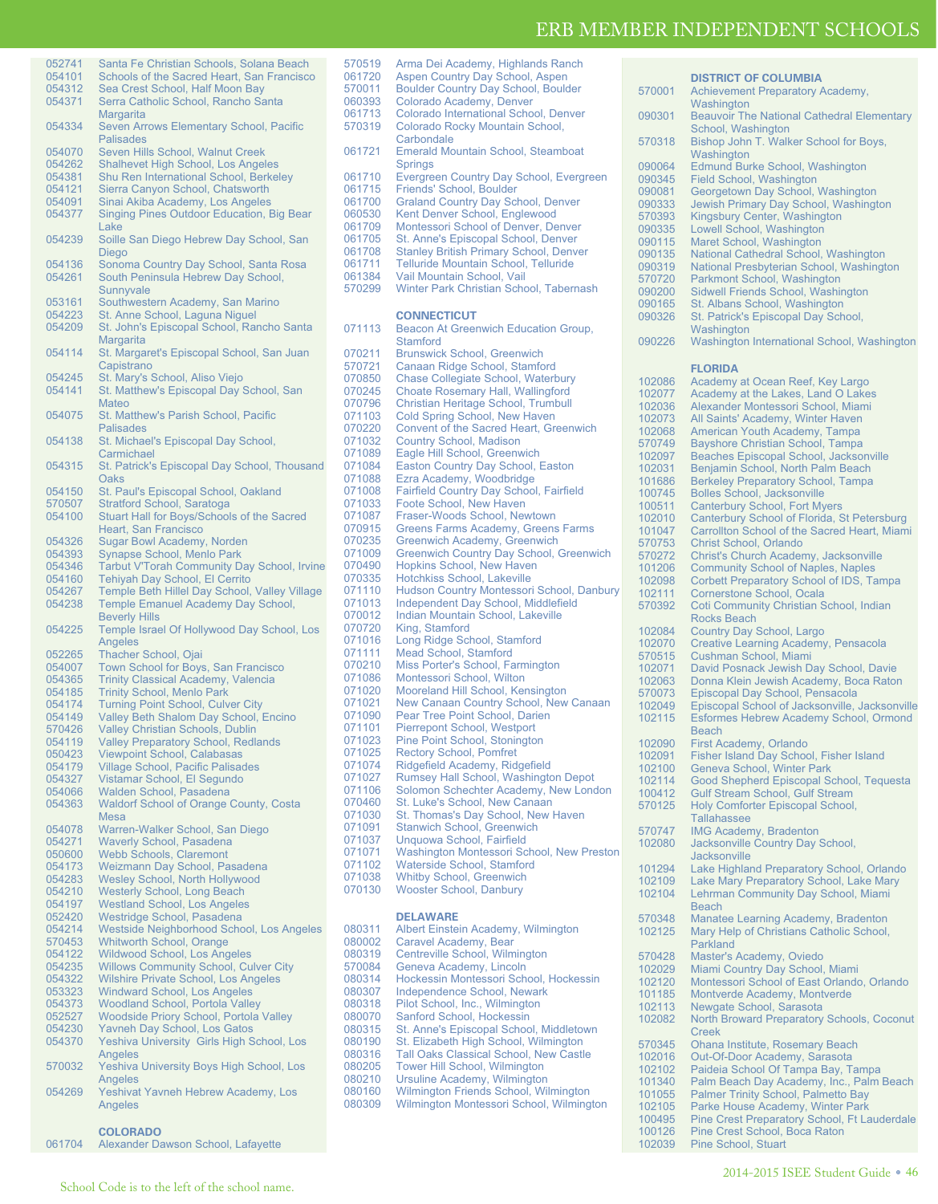**DISTRICT OF COLUMBIA**

| 052741 | Santa Fe Christian Schools, Solana Beach           |
|--------|----------------------------------------------------|
|        |                                                    |
| 054101 | Schools of the Sacred Heart, San Francisco         |
| 054312 | Sea Crest School, Half Moon Bay                    |
| 054371 | Serra Catholic School, Rancho Santa                |
|        | Margarita                                          |
|        |                                                    |
| 054334 | Seven Arrows Elementary School, Pacific            |
|        | Palisades                                          |
| 054070 | Seven Hills School, Walnut Creek                   |
| 054262 | Shalhevet High School, Los Angeles                 |
|        |                                                    |
| 054381 | Shu Ren International School, Berkeley             |
| 054121 | Sierra Canyon School, Chatsworth                   |
| 054091 | Sinai Akiba Academy, Los Angeles                   |
| 054377 | Singing Pines Outdoor Education, Big Bear          |
|        |                                                    |
|        | Lake                                               |
| 054239 | Soille San Diego Hebrew Day School, San            |
|        | Diego                                              |
| 054136 | Sonoma Country Day School, Santa Rosa              |
| 054261 | South Peninsula Hebrew Day School,                 |
|        |                                                    |
|        | Sunnyvale                                          |
| 053161 | Southwestern Academy, San Marino                   |
| 054223 | St. Anne School, Laguna Niguel                     |
| 054209 | St. John's Episcopal School, Rancho Santa          |
|        |                                                    |
|        | Margarita                                          |
| 054114 | St. Margaret's Episcopal School, San Juan          |
|        | Capistrano                                         |
| 054245 | St. Mary's School, Aliso Viejo                     |
| 054141 | St. Matthew's Episcopal Day School, San            |
|        |                                                    |
|        | Mateo                                              |
| 054075 | St. Matthew's Parish School, Pacific               |
|        | <b>Palisades</b>                                   |
| 054138 | St. Michael's Episcopal Day School,                |
|        |                                                    |
|        | Carmichael                                         |
| 054315 | St. Patrick's Episcopal Day School, Thousand       |
|        | Oaks                                               |
| 054150 | St. Paul's Episcopal School, Oakland               |
|        |                                                    |
| 570507 | <b>Stratford School, Saratoga</b>                  |
| 054100 | Stuart Hall for Boys/Schools of the Sacred         |
|        | <b>Heart, San Francisco</b>                        |
| 054326 | Sugar Bowl Academy, Norden                         |
| 054393 | Synapse School, Menlo Park                         |
|        |                                                    |
| 054346 | <b>Tarbut V'Torah Community Day School, Irvine</b> |
| 054160 | Tehiyah Day School, El Cerrito                     |
| 054267 | Temple Beth Hillel Day School, Valley Village      |
| 054238 | <b>Temple Emanuel Academy Day School,</b>          |
|        |                                                    |
|        | <b>Beverly Hills</b>                               |
| 054225 | Temple Israel Of Hollywood Day School, Los         |
|        |                                                    |
|        |                                                    |
|        | Angeles                                            |
| 052265 | <b>Thacher School, Ojai</b>                        |
| 054007 | Town School for Boys, San Francisco                |
| 054365 | <b>Trinity Classical Academy, Valencia</b>         |
| 054185 | <b>Trinity School, Menlo Park</b>                  |
| 054174 |                                                    |
|        | <b>Turning Point School, Culver City</b>           |
| 054149 | Valley Beth Shalom Day School, Encino              |
| 570426 | <b>Valley Christian Schools, Dublin</b>            |
| 054119 | <b>Valley Preparatory School, Redlands</b>         |
| 050423 | Viewpoint School, Calabasas                        |
|        |                                                    |
| 054179 | Village School, Pacific Palisades                  |
| 054327 | Vistamar School, El Segundo                        |
| 054066 | Walden School, Pasadena                            |
| 054363 | <b>Waldorf School of Orange County, Costa</b>      |
|        | <b>Mesa</b>                                        |
| 054078 |                                                    |
|        | Warren-Walker School, San Diego                    |
| 054271 | <b>Waverly School, Pasadena</b>                    |
| 050600 | <b>Webb Schools, Claremont</b>                     |
| 054173 | Weizmann Day School, Pasadena                      |
| 054283 | <b>Wesley School, North Hollywood</b>              |
| 054210 |                                                    |
|        | <b>Westerly School, Long Beach</b>                 |
| 054197 | <b>Westland School, Los Angeles</b>                |
| 052420 | Westridge School, Pasadena                         |
| 054214 | Westside Neighborhood School, Los Angeles          |
| 570453 | <b>Whitworth School, Orange</b>                    |
| 054122 |                                                    |
|        | Wildwood School, Los Angeles                       |
| 054235 | <b>Willows Community School, Culver City</b>       |
| 054322 | <b>Wilshire Private School, Los Angeles</b>        |
| 053323 | <b>Windward School, Los Angeles</b>                |
| 054373 | <b>Woodland School, Portola Valley</b>             |
| 052527 |                                                    |
|        | <b>Woodside Priory School, Portola Valley</b>      |
| 054230 | <b>Yavneh Day School, Los Gatos</b>                |
| 054370 | Yeshiva University Girls High School, Los          |
|        | Angeles                                            |
| 570032 | <b>Yeshiva University Boys High School, Los</b>    |
|        |                                                    |
|        | Angeles                                            |
| 054269 | Yeshivat Yavneh Hebrew Academy, Los                |
|        | Angeles                                            |

## **COLORADO**

061704 Alexander Dawson School, Lafayette

- 570519 Arma Dei Academy, Highlands Ranch 061720 Aspen Country Day School, Aspen<br>570011 Boulder Country Day School, Bould 570011 Boulder Country Day School, Boulder 060393 Colorado Academy, Denver<br>061713 Colorado International Scho Colorado International School, Denver 570319 Colorado Rocky Mountain School, **Carbondale** 061721 Emerald Mountain School, Steamboat Springs 061710 Evergreen Country Day School, Evergreen<br>061715 Friends' School, Boulder 061715 Friends' School, Boulder<br>061700 Graland Country Day Scl 061700 Graland Country Day School, Denver<br>060530 Kent Denver School, Englewood 060530 Kent Denver School, Englewood<br>061709 Montessori School of Denver De 061709 Montessori School of Denver, Denver<br>061705 St. Anne's Eniscopal School Denver 061705 St. Anne's Episcopal School, Denver<br>061708 Stanley British Primary School, Denve 061708 Stanley British Primary School, Denver<br>061711 Telluride Mountain School, Telluride 061711 Telluride Mountain School, Telluride<br>061384 Vail Mountain School, Vail 061384 Vail Mountain School, Vail<br>570299 Winter Park Christian Scho Winter Park Christian School, Tabernash **CONNECTICUT** 071113 Beacon At Greenwich Education Group, **Stamford**
- 070211 Brunswick School, Greenwich<br>570721 Canaan Ridge School, Stamfd 570721 Canaan Ridge School, Stamford 070850 Chase Collegiate School, Waterbury<br>070245 Choate Rosemary Hall Wallingford 070245 Choate Rosemary Hall, Wallingford<br>070796 Christian Heritage School, Trumbull 070796 Christian Heritage School, Trumbull<br>071103 Cold Spring School, New Haven 071103 Cold Spring School, New Haven<br>070220 Convent of the Sacred Heart, Gr 070220 Convent of the Sacred Heart, Greenwich<br>071032 Country School, Madison 071032 Country School, Madison<br>071089 Eagle Hill School, Greenv 071089 Eagle Hill School, Greenwich<br>071084 Easton Country Day School. 071084 Easton Country Day School, Easton<br>071088 Ezra Academy, Woodbridge 071088 Ezra Academy, Woodbridge<br>071008 Fairfield Country Day Schoo 071008 Fairfield Country Day School, Fairfield<br>071033 Foote School, New Haven 071033 Foote School, New Haven<br>071087 Fraser-Woods School New 071087 Fraser-Woods School, Newtown<br>070915 Greens Farms Academy, Greens 070915 Greens Farms Academy, Greens Farms<br>070235 Greenwich Academy, Greenwich 070235 Greenwich Academy, Greenwich<br>071009 Greenwich Country Day School, 071009 Greenwich Country Day School, Greenwich<br>070490 Hopkins School, New Haven 070490 Hopkins School, New Haven<br>070335 Hotchkiss School, Lakeville 070335 Hotchkiss School, Lakeville<br>071110 Hudson Country Montessori 071110 Hudson Country Montessori School, Danbury<br>071013 Independent Day School, Middlefield 071013 Independent Day School, Middlefield<br>070012 Indian Mountain School, Lakeville 070012 Indian Mountain School, Lakeville<br>070720 King, Stamford 070720 King, Stamford<br>071016 Long Ridge Sch 071016 Long Ridge School, Stamford<br>071111 Mead School, Stamford 071111 Mead School, Stamford<br>070210 Miss Porter's School. Fa 070210 Miss Porter's School, Farmington<br>071086 Montessori School, Wilton 071086 Montessori School, Wilton<br>071020 Mooreland Hill School, Ke 071020 Mooreland Hill School, Kensington<br>071021 New Canaan Country School, New 071021 New Canaan Country School, New Canaan<br>071090 Pear Tree Point School, Darien 071090 Pear Tree Point School, Darien<br>071101 Pierrepont School, Westport 071101 Pierrepont School, Westport 071023 Pine Point School, Stonington 071025 Rectory School, Pomfret<br>071074 Ridgefield Academy, Ridg 071074 Ridgefield Academy, Ridgefield 071027 Rumsey Hall School, Washington Depot 071106 Solomon Schechter Academy, New London<br>070460 St. Luke's School, New Canaan 070460 St. Luke's School, New Canaan<br>071030 St. Thomas's Day School, New 071030 St. Thomas's Day School, New Haven<br>071091 Stanwich School, Greenwich 071091 Stanwich School, Greenwich<br>071037 Unguowa School, Fairfield 071037 Unquowa School, Fairfield<br>071071 Washington Montessori Sc 071071 Washington Montessori School, New Preston<br>071102 Waterside School, Stamford 071102 Waterside School, Stamford<br>071038 Whithy School Greenwich 071038 Whitby School, Greenwich<br>070130 Wooster School, Danbury

#### **DELAWARE**

Wooster School, Danbury

080311 Albert Einstein Academy, Wilmington<br>080002 Caravel Academy Bear 080002 Caravel Academy, Bear<br>080319 Centreville School, Wilm 080319 Centreville School, Wilmington<br>570084 Geneva Academy, Lincoln 570084 Geneva Academy, Lincoln<br>080314 Hockessin Montessori Sch 080314 Hockessin Montessori School, Hockessin<br>080307 Independence School, Newark 080307 Independence School, Newark<br>080318 Pilot School, Inc., Wilmington 080318 Pilot School, Inc., Wilmington<br>080070 Sanford School, Hockessin 080070 Sanford School, Hockessin<br>080315 St Anne's Episcopal School 080315 St. Anne's Episcopal School, Middletown<br>080190 St. Elizabeth High School, Wilmington 080190 St. Elizabeth High School, Wilmington<br>080316 Tall Oaks Classical School, New Castl 080316 Tall Oaks Classical School, New Castle<br>080205 Tower Hill School, Wilmington 080205 Tower Hill School, Wilmington<br>080210 Ursuline Academy, Wilmingtor 080210 Ursuline Academy, Wilmington<br>080160 Wilmington Friends School, Wi 080160 Wilmington Friends School, Wilmington<br>080309 Wilmington Montessori School, Wilming 080309 Wilmington Montessori School, Wilmington

| 570001           | <b>Achievement Preparatory Academy,</b>                                                         |
|------------------|-------------------------------------------------------------------------------------------------|
|                  | Washington                                                                                      |
| 090301           | <b>Beauvoir The National Cathedral Elementary</b><br>School, Washington                         |
| 570318           | Bishop John T. Walker School for Boys,                                                          |
|                  | Washington                                                                                      |
| 090064           | <b>Edmund Burke School, Washington</b>                                                          |
| 090345           | <b>Field School, Washington</b>                                                                 |
| 090081           | Georgetown Day School, Washington                                                               |
| 090333           | Jewish Primary Day School, Washington                                                           |
| 570393           | Kingsbury Center, Washington                                                                    |
| 090335           | Lowell School, Washington                                                                       |
| 090115           | Maret School, Washington                                                                        |
| 090135<br>090319 | National Cathedral School, Washington<br>National Presbyterian School, Washington               |
| 570720           | Parkmont School, Washington                                                                     |
| 090200           | Sidwell Friends School, Washington                                                              |
| 090165           | St. Albans School, Washington                                                                   |
| 090326           | St. Patrick's Episcopal Day School,                                                             |
|                  | Washington                                                                                      |
| 090226           | Washington International School, Washington                                                     |
|                  |                                                                                                 |
|                  | <b>FLORIDA</b>                                                                                  |
| 102086           | Academy at Ocean Reef, Key Largo                                                                |
| 102077           | Academy at the Lakes, Land O Lakes                                                              |
| 102036           | Alexander Montessori School, Miami                                                              |
| 102073           | All Saints' Academy, Winter Haven                                                               |
| 102068<br>570749 | American Youth Academy, Tampa<br><b>Bayshore Christian School, Tampa</b>                        |
| 102097           | Beaches Episcopal School, Jacksonville                                                          |
| 102031           | Benjamin School, North Palm Beach                                                               |
| 101686           | <b>Berkeley Preparatory School, Tampa</b>                                                       |
| 100745           | <b>Bolles School, Jacksonville</b>                                                              |
| 100511           | <b>Canterbury School, Fort Myers</b>                                                            |
| 102010           | Canterbury School of Florida, St Petersburg                                                     |
| 101047           | Carrollton School of the Sacred Heart, Miami                                                    |
| 570753           | Christ School, Orlando                                                                          |
| 570272           | Christ's Church Academy, Jacksonville                                                           |
| 101206<br>102098 | <b>Community School of Naples, Naples</b>                                                       |
| 102111           | Corbett Preparatory School of IDS, Tampa<br>Cornerstone School, Ocala                           |
| 570392           | Coti Community Christian School, Indian                                                         |
|                  | <b>Rocks Beach</b>                                                                              |
| 102084           | Country Day School, Largo                                                                       |
| 102070           | <b>Creative Learning Academy, Pensacola</b>                                                     |
| 570515           | Cushman School, Miami                                                                           |
| 102071           | David Posnack Jewish Day School, Davie                                                          |
| 102063           | Donna Klein Jewish Academy, Boca Raton                                                          |
| 570073           | Episcopal Day School, Pensacola                                                                 |
| 102049<br>102115 | Episcopal School of Jacksonville, Jacksonville<br><b>Esformes Hebrew Academy School, Ormond</b> |
|                  | <b>Beach</b>                                                                                    |
| 102090           | First Academy, Orlando                                                                          |
| 102091           | Fisher Island Day School, Fisher Island                                                         |
| 102100           | Geneva School, Winter Park                                                                      |
| 102114           | Good Shepherd Episcopal School, Tequesta                                                        |
| 100412           | <b>Gulf Stream School, Gulf Stream</b>                                                          |
| 570125           | Holy Comforter Episcopal School,                                                                |
|                  | Tallahassee                                                                                     |
| 570747           | <b>IMG Academy, Bradenton</b>                                                                   |
| 102080           | Jacksonville Country Day School,                                                                |
| 101294           | <b>Jacksonville</b><br>Lake Highland Preparatory School, Orlando                                |
| 102109           | Lake Mary Preparatory School, Lake Mary                                                         |
| 102104           | Lehrman Community Day School, Miami                                                             |
|                  | <b>Beach</b>                                                                                    |
| 570348           | Manatee Learning Academy, Bradenton                                                             |
| 102125           | Mary Help of Christians Catholic School,                                                        |
|                  | Parkland                                                                                        |
| 570428           | Master's Academy, Oviedo                                                                        |
| 102029           | Miami Country Day School, Miami                                                                 |
| 102120           | Montessori School of East Orlando, Orlando                                                      |
| 101185<br>102113 | Montverde Academy, Montverde<br>Newgate School, Sarasota                                        |
| 102082           | North Broward Preparatory Schools, Coconut                                                      |
|                  | <b>Creek</b>                                                                                    |
| 570345           | <b>Ohana Institute, Rosemary Beach</b>                                                          |
| 102016           | Out-Of-Door Academy, Sarasota                                                                   |
| 102102           | Paideia School Of Tampa Bay, Tampa                                                              |
| 101340           | Palm Beach Day Academy, Inc., Palm Beach                                                        |
| 101055           | Palmer Trinity School, Palmetto Bay                                                             |
| 102105           | Parke House Academy, Winter Park                                                                |
| 100495           | Pine Crest Preparatory School, Ft Lauderdale                                                    |

100126 Pine Crest School, Boca Raton<br>102039 Pine School, Stuart Pine School, Stuart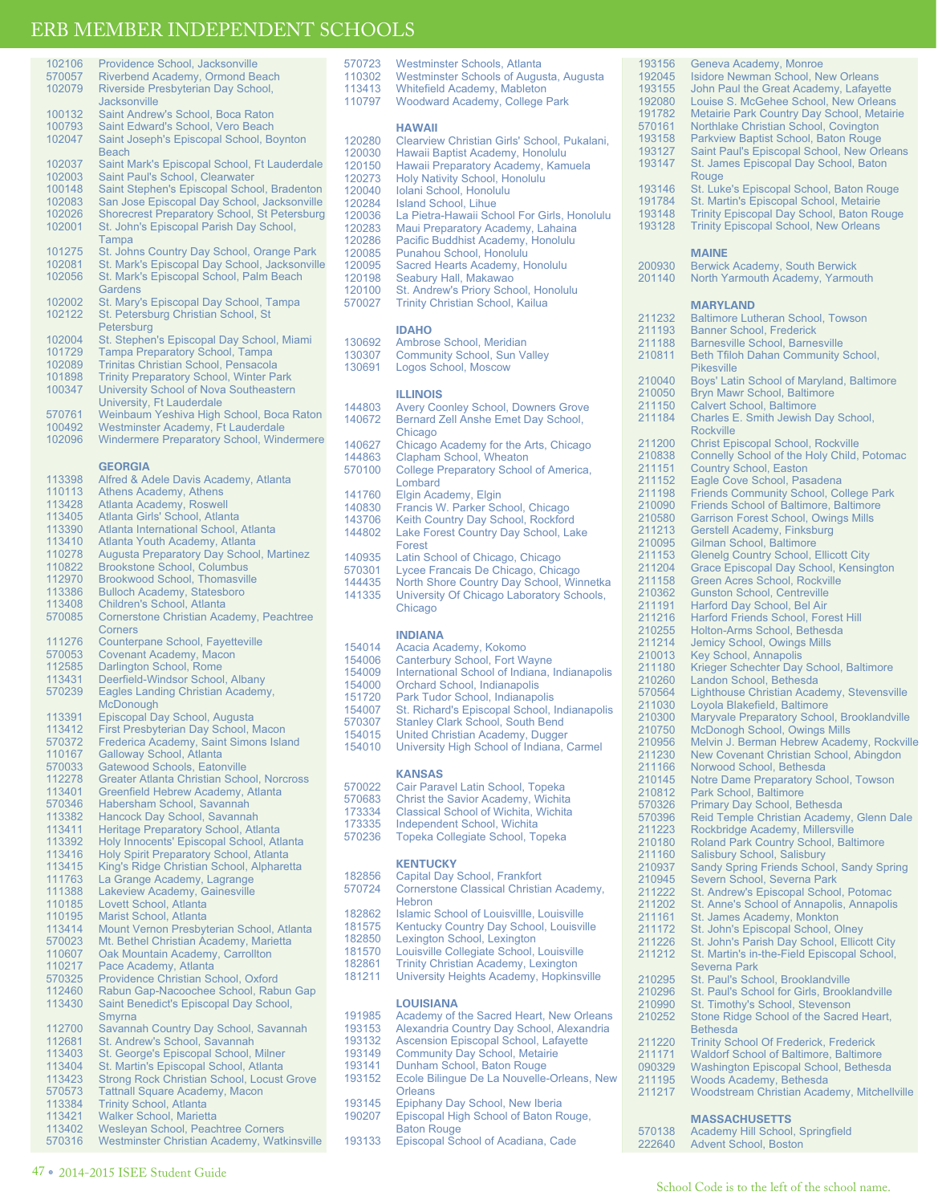| 102106 | Providence School, Jacksonville                     |
|--------|-----------------------------------------------------|
| 570057 | Riverbend Academy, Ormond Beach                     |
| 102079 | Riverside Presbyterian Day School,                  |
|        | Jacksonville                                        |
| 100132 | Saint Andrew's School, Boca Raton                   |
| 100793 | Saint Edward's School, Vero Beach                   |
| 102047 | Saint Joseph's Episcopal School, Boynton            |
|        | Beach                                               |
| 102037 | Saint Mark's Episcopal School, Ft Lauderdale        |
| 102003 | Saint Paul's School, Clearwater                     |
| 100148 | Saint Stephen's Episcopal School, Bradenton         |
| 102083 | San Jose Episcopal Day School, Jacksonville         |
| 102026 |                                                     |
|        | <b>Shorecrest Preparatory School, St Petersburg</b> |
| 102001 | St. John's Episcopal Parish Day School,             |
| 101275 | Tampa                                               |
|        | St. Johns Country Day School, Orange Park           |
| 102081 | St. Mark's Episcopal Day School, Jacksonville       |
| 102056 | St. Mark's Episcopal School, Palm Beach             |
|        | Gardens                                             |
| 102002 | St. Mary's Episcopal Day School, Tampa              |
| 102122 | St. Petersburg Christian School, St                 |
|        | Petersburg                                          |
| 102004 | St. Stephen's Episcopal Day School, Miami           |
| 101729 | <b>Tampa Preparatory School, Tampa</b>              |
| 102089 | Trinitas Christian School, Pensacola                |
| 101898 | <b>Trinity Preparatory School, Winter Park</b>      |
| 100347 | University School of Nova Southeastern              |
|        | University, Ft Lauderdale                           |
| 570761 | Weinbaum Yeshiva High School, Boca Raton            |
| 100492 | Westminster Academy, Ft Lauderdale                  |
| 102096 | <b>Windermere Preparatory School, Windermere</b>    |
|        |                                                     |
|        | <b>GEORGIA</b>                                      |
| 113398 | Alfred & Adele Davis Academy, Atlanta               |
| 110113 | <b>Athens Academy, Athens</b>                       |
| 113428 | Atlanta Academy, Roswell                            |
| 113405 | Atlanta Girls' School, Atlanta                      |
| 113390 | Atlanta International School, Atlanta               |
|        |                                                     |
| 113410 | Atlanta Youth Academy, Atlanta                      |
| 110278 | <b>Augusta Preparatory Day School, Martinez</b>     |
| 110822 | <b>Brookstone School, Columbus</b>                  |
| 112970 | Brookwood School, Thomasville                       |
| 113386 | <b>Bulloch Academy, Statesboro</b>                  |
| 113408 | Children's School, Atlanta                          |
| 570085 | Cornerstone Christian Academy, Peachtree            |
|        | Corners                                             |
|        |                                                     |
| 111276 | <b>Counterpane School, Fayetteville</b>             |
| 570053 | <b>Covenant Academy, Macon</b>                      |
| 112585 | Darlington School, Rome                             |
| 113431 | Deerfield-Windsor School, Albany                    |
| 570239 | Eagles Landing Christian Academy,                   |
|        | McDonough                                           |
| 113391 | Episcopal Day School, Augusta                       |
| 113412 | First Presbyterian Day School, Macon                |
| 570372 | Frederica Academy, Saint Simons Island              |
| 110167 | Galloway School, Atlanta                            |
| 570033 | Gatewood Schools, Eatonville                        |
| 112278 | <b>Greater Atlanta Christian School, Norcross</b>   |
| 113401 | Greenfield Hebrew Academy, Atlanta                  |
| 570346 | Habersham School, Savannah                          |
| 113382 | Hancock Day School, Savannah                        |
| 113411 | Heritage Preparatory School, Atlanta                |
| 113392 | Holy Innocents' Episcopal School, Atlanta           |
| 113416 | Holy Spirit Preparatory School, Atlanta             |
| 113415 | King's Ridge Christian School, Alpharetta           |
| 111763 | La Grange Academy, Lagrange                         |
| 111388 | Lakeview Academy, Gainesville                       |
| 110185 | Lovett School, Atlanta                              |
| 110195 | Marist School, Atlanta                              |
| 113414 | Mount Vernon Presbyterian School, Atlanta           |
| 570023 | Mt. Bethel Christian Academy, Marietta              |
| 110607 | Oak Mountain Academy, Carrollton                    |
| 110217 | Pace Academy, Atlanta                               |
| 570325 | Providence Christian School, Oxford                 |
| 112460 | Rabun Gap-Nacoochee School, Rabun Gap               |
| 113430 | Saint Benedict's Episcopal Day School,              |
|        | Smyrna                                              |
| 112700 | Savannah Country Day School, Savannah               |
| 112681 | St. Andrew's School, Savannah                       |
| 113403 | St. George's Episcopal School, Milner               |
| 113404 | St. Martin's Episcopal School, Atlanta              |
| 113423 | <b>Strong Rock Christian School, Locust Grove</b>   |
| 570573 | <b>Tattnall Square Academy, Macon</b>               |
| 113384 | <b>Trinity School, Atlanta</b>                      |
| 113421 | <b>Walker School, Marietta</b>                      |
| 113402 | Wesleyan School, Peachtree Corners                  |
| 570316 | Westminster Christian Academy, Watkinsville         |

| 113413<br>110797                                                                                                                         | Whitefield Academy, Mableton<br><b>Woodward Academy, College Park</b>                                                                                                                                                                                                                                                                                                                                                                                                                                                                                                       |
|------------------------------------------------------------------------------------------------------------------------------------------|-----------------------------------------------------------------------------------------------------------------------------------------------------------------------------------------------------------------------------------------------------------------------------------------------------------------------------------------------------------------------------------------------------------------------------------------------------------------------------------------------------------------------------------------------------------------------------|
| 120280<br>120030<br>120150<br>120273<br>120040<br>120284<br>120036<br>120283<br>120286<br>120085<br>120095<br>120198<br>120100<br>570027 | <b>HAWAII</b><br>Clearview Christian Girls' School, Pukalani,<br>Hawaii Baptist Academy, Honolulu<br>Hawaii Preparatory Academy, Kamuela<br>Holy Nativity School, Honolulu<br>Iolani School, Honolulu<br><b>Island School, Lihue</b><br>La Pietra-Hawaii School For Girls, Honolulu<br>Maui Preparatory Academy, Lahaina<br>Pacific Buddhist Academy, Honolulu<br>Punahou School, Honolulu<br>Sacred Hearts Academy, Honolulu<br>Seabury Hall, Makawao<br>St. Andrew's Priory School, Honolulu<br><b>Trinity Christian School, Kailua</b>                                   |
| 130692<br>130307<br>130691                                                                                                               | <b>IDAHO</b><br>Ambrose School, Meridian<br><b>Community School, Sun Valley</b><br>Logos School, Moscow                                                                                                                                                                                                                                                                                                                                                                                                                                                                     |
| 144803<br>140672<br>140627<br>144863<br>570100<br>141760<br>140830<br>143706<br>144802<br>140935<br>570301<br>144435<br>141335           | <b>ILLINOIS</b><br><b>Avery Coonley School, Downers Grove</b><br>Bernard Zell Anshe Emet Day School,<br>Chicago<br>Chicago Academy for the Arts, Chicago<br>Clapham School, Wheaton<br>College Preparatory School of America,<br>Lombard<br>Elgin Academy, Elgin<br>Francis W. Parker School, Chicago<br>Keith Country Day School, Rockford<br>Lake Forest Country Day School, Lake<br>Forest<br>Latin School of Chicago, Chicago<br>Lycee Francais De Chicago, Chicago<br>North Shore Country Day School, Winnetka<br>University Of Chicago Laboratory Schools,<br>Chicago |
| 154014<br>154006<br>154009<br>154000<br>151720<br>154007<br>570307<br>154015<br>154010                                                   | <b>INDIANA</b><br>Acacia Academy, Kokomo<br><b>Canterbury School, Fort Wayne</b><br>International School of Indiana, Indianapolis<br>Orchard School, Indianapolis<br>Park Tudor School, Indianapolis<br>St. Richard's Episcopal School, Indianapolis<br>Stanley Clark School, South Bend<br>United Christian Academy, Dugger<br>University High School of Indiana, Carmel                                                                                                                                                                                                   |
| 570022<br>570683                                                                                                                         | <b>KANSAS</b><br>Cair Paravel Latin School, Topeka<br>Christ the Savior Academy Wichita                                                                                                                                                                                                                                                                                                                                                                                                                                                                                     |

570723 Westminster Schools, Atlanta<br>110302 Westminster Schools of Augus

110302 Westminster Schools of Augusta, Augusta<br>113413 Whitefield Academy, Mableton

- 570683 Christ the Savior Academy, Wichita 173334 Classical School of Wichita, Wichita
- 
- 173335 Independent School, Wichita<br>570236 Topeka Collegiate School. To
	- 570236 Topeka Collegiate School, Topeka

### **KENTUCKY**

| 182856 | Capital Day School, Frankfort                |
|--------|----------------------------------------------|
| 570724 | Cornerstone Classical Christian Academy,     |
|        | Hebron                                       |
| 182862 | Islamic School of Louisvillle, Louisville    |
| 181575 | Kentucky Country Day School, Louisville      |
| 182850 | Lexington School, Lexington                  |
| 181570 | Louisville Collegiate School, Louisville     |
| 182861 | Trinity Christian Academy, Lexington         |
| 181211 | University Heights Academy, Hopkinsville     |
|        | <b>LOUISIANA</b>                             |
| 191985 | Academy of the Sacred Heart, New Orleans     |
| 193153 | Alexandria Country Day School, Alexandria    |
| 193132 | <b>Ascension Episcopal School, Lafayette</b> |
|        |                                              |
| 193149 | Community Day School, Metairie               |

- 193149 Community Day School, Metairie 193141 Dunham School, Baton Rouge
	-
- 193152 Ecole Bilingue De La Nouvelle-Orleans, New **Orleans**
- 193145 Epiphany Day School, New Iberia<br>190207 Episcopal High School of Baton Ro Episcopal High School of Baton Rouge,
	- Baton Rouge
- 193133 Episcopal School of Acadiana, Cade

193156 Geneva Academy, Monroe<br>192045 Isidore Newman School, Ne 192045 Isidore Newman School, New Orleans<br>193155 John Paul the Great Academy, Lafaye 193155 John Paul the Great Academy, Lafayette 192080 Louise S. McGehee School, New Orleans 191782 Metairie Park Country Day School, Metairie 570161 Northlake Christian School, Covington 193158 Parkview Baptist School, Baton Rouge<br>193127 Saint Paul's Episcopal School, New Or 193127 Saint Paul's Episcopal School, New Orleans<br>193147 St. James Episcopal Day School, Baton St. James Episcopal Day School, Baton Rouge 193146 St. Luke's Episcopal School, Baton Rouge<br>191784 St. Martin's Episcopal School, Metairie 191784 St. Martin's Episcopal School, Metairie<br>193148 Trinity Episcopal Day School, Baton Ro 193148 Trinity Episcopal Day School, Baton Rouge<br>193128 Trinity Episcopal School, New Orleans **Trinity Episcopal School, New Orleans** 

| 200930           | <b>MAINE</b><br><b>Berwick Academy, South Berwick</b>                                  |
|------------------|----------------------------------------------------------------------------------------|
| 201140           | North Yarmouth Academy, Yarmouth                                                       |
|                  |                                                                                        |
|                  | <b>MARYLAND</b>                                                                        |
| 211232           | <b>Baltimore Lutheran School, Towson</b>                                               |
| 211193           | <b>Banner School, Frederick</b>                                                        |
| 211188           | <b>Barnesville School, Barnesville</b>                                                 |
| 210811           | Beth Tfiloh Dahan Community School,                                                    |
|                  | <b>Pikesville</b>                                                                      |
| 210040           | Boys' Latin School of Maryland, Baltimore                                              |
| 210050           | <b>Bryn Mawr School, Baltimore</b>                                                     |
| 211150<br>211184 | <b>Calvert School, Baltimore</b><br>Charles E. Smith Jewish Day School,                |
|                  | <b>Rockville</b>                                                                       |
| 211200           | <b>Christ Episcopal School, Rockville</b>                                              |
| 210838           | Connelly School of the Holy Child, Potomac                                             |
| 211151           | <b>Country School, Easton</b>                                                          |
| 211152           | Eagle Cove School, Pasadena                                                            |
| 211198           | <b>Friends Community School, College Park</b>                                          |
| 210090           | <b>Friends School of Baltimore, Baltimore</b>                                          |
| 210580           | <b>Garrison Forest School, Owings Mills</b>                                            |
| 211213           | Gerstell Academy, Finksburg                                                            |
| 210095<br>211153 | Gilman School, Baltimore<br><b>Glenelg Country School, Ellicott City</b>               |
| 211204           | Grace Episcopal Day School, Kensington                                                 |
| 211158           | <b>Green Acres School, Rockville</b>                                                   |
| 210362           | <b>Gunston School, Centreville</b>                                                     |
| 211191           | Harford Day School, Bel Air                                                            |
| 211216           | <b>Harford Friends School, Forest Hill</b>                                             |
| 210255           | Holton-Arms School, Bethesda                                                           |
| 211214           | <b>Jemicy School, Owings Mills</b>                                                     |
| 210013<br>211180 | <b>Key School, Annapolis</b>                                                           |
| 210260           | Krieger Schechter Day School, Baltimore<br>Landon School, Bethesda                     |
| 570564           | Lighthouse Christian Academy, Stevensville                                             |
| 211030           | Loyola Blakefield, Baltimore                                                           |
| 210300           | Maryvale Preparatory School, Brooklandville                                            |
| 210750           | <b>McDonogh School, Owings Mills</b>                                                   |
| 210956           | Melvin J. Berman Hebrew Academy, Rockville                                             |
| 211230           | New Covenant Christian School, Abingdon                                                |
| 211166           | Norwood School, Bethesda                                                               |
| 210145<br>210812 | <b>Notre Dame Preparatory School, Towson</b>                                           |
| 570326           | Park School, Baltimore<br>Primary Day School, Bethesda                                 |
| 570396           | Reid Temple Christian Academy, Glenn Dale                                              |
| 211223           | Rockbridge Academy, Millersville                                                       |
| 210180           | Roland Park Country School, Baltimore                                                  |
| 211160           | Salisbury School, Salisbury                                                            |
| 210937           | Sandy Spring Friends School, Sandy Spring                                              |
| 210945           | Severn School, Severna Park                                                            |
| 211222           | St. Andrew's Episcopal School, Potomac                                                 |
| 211202           | St. Anne's School of Annapolis, Annapolis                                              |
| 211161<br>211172 | St. James Academy, Monkton<br>St. John's Episcopal School, Olney                       |
| 211226           | St. John's Parish Day School, Ellicott City                                            |
| 211212           | St. Martin's in-the-Field Episcopal School,                                            |
|                  | <b>Severna Park</b>                                                                    |
| 210295           | St. Paul's School, Brooklandville                                                      |
| 210296           | St. Paul's School for Girls, Brooklandville                                            |
| 210990           | St. Timothy's School, Stevenson                                                        |
| 210252           | Stone Ridge School of the Sacred Heart,                                                |
|                  | <b>Bethesda</b>                                                                        |
| 211220           | <b>Trinity School Of Frederick, Frederick</b>                                          |
| 211171<br>090329 | <b>Waldorf School of Baltimore, Baltimore</b><br>Washington Episcopal School, Bethesda |
| 211195           | Woods Academy, Bethesda                                                                |
| 211217           | Woodstream Christian Academy, Mitchellville                                            |
|                  |                                                                                        |
|                  | <b>MASSACHUSETTS</b>                                                                   |
| 570138           | Academy Hill School, Springfield                                                       |
| 222640           | <b>Advent School, Boston</b>                                                           |
|                  |                                                                                        |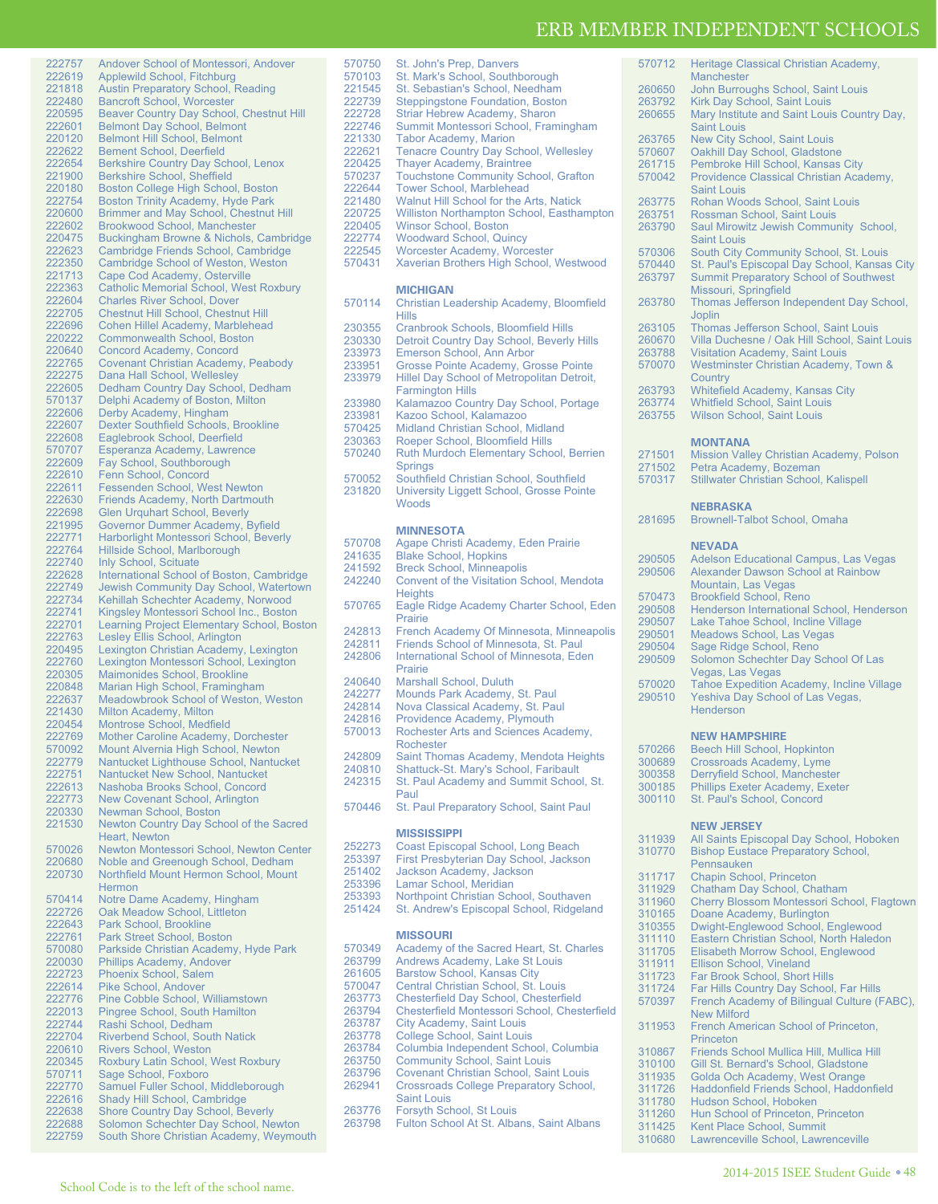| 222757 | Andover School of Montessori, Andover         |
|--------|-----------------------------------------------|
|        |                                               |
| 222619 | Applewild School, Fitchburg                   |
| 221818 | <b>Austin Preparatory School, Reading</b>     |
| 222480 | <b>Bancroft School, Worcester</b>             |
| 220595 | Beaver Country Day School, Chestnut Hill      |
|        |                                               |
| 222601 | <b>Belmont Day School, Belmont</b>            |
| 220120 | <b>Belmont Hill School, Belmont</b>           |
| 222622 | <b>Bement School, Deerfield</b>               |
| 222654 |                                               |
|        | <b>Berkshire Country Day School, Lenox</b>    |
| 221900 | Berkshire School, Sheffield                   |
| 220180 | Boston College High School, Boston            |
| 222754 | <b>Boston Trinity Academy, Hyde Park</b>      |
|        |                                               |
| 220600 | Brimmer and May School, Chestnut Hill         |
| 222602 | <b>Brookwood School, Manchester</b>           |
| 220475 | Buckingham Browne & Nichols, Cambridge        |
| 222623 | Cambridge Friends School, Cambridge           |
|        |                                               |
| 222350 | <b>Cambridge School of Weston, Weston</b>     |
| 221713 | Cape Cod Academy, Osterville                  |
| 222363 | <b>Catholic Memorial School, West Roxbury</b> |
|        | <b>Charles River School, Dover</b>            |
| 222604 |                                               |
| 222705 | Chestnut Hill School, Chestnut Hill           |
| 222696 | Cohen Hillel Academy, Marblehead              |
| 220222 | <b>Commonwealth School, Boston</b>            |
|        |                                               |
| 220640 | Concord Academy, Concord                      |
| 222765 | Covenant Christian Academy, Peabody           |
| 222275 | Dana Hall School, Wellesley                   |
| 222605 | Dedham Country Day School, Dedham             |
|        |                                               |
| 570137 | Delphi Academy of Boston, Milton              |
| 222606 | Derby Academy, Hingham                        |
| 222607 | Dexter Southfield Schools, Brookline          |
| 222608 | Eaglebrook School, Deerfield                  |
|        |                                               |
| 570707 | Esperanza Academy, Lawrence                   |
| 222609 | Fay School, Southborough                      |
| 222610 | Fenn School, Concord                          |
|        | <b>Fessenden School, West Newton</b>          |
| 222611 |                                               |
| 222630 | <b>Friends Academy, North Dartmouth</b>       |
| 222698 | <b>Glen Urquhart School, Beverly</b>          |
| 221995 | Governor Dummer Academy, Byfield              |
|        |                                               |
| 222771 | Harborlight Montessori School, Beverly        |
| 222764 | Hillside School, Marlborough                  |
| 222740 | Inly School, Scituate                         |
| 222628 | International School of Boston, Cambridge     |
|        |                                               |
| 222749 | Jewish Community Day School, Watertown        |
| 222734 | Kehillah Schechter Academy, Norwood           |
| 222741 | Kingsley Montessori School Inc., Boston       |
|        |                                               |
| 222701 | Learning Project Elementary School, Boston    |
| 222763 | Lesley Ellis School, Arlington                |
| 220495 | Lexington Christian Academy, Lexington        |
| 222760 | Lexington Montessori School, Lexington        |
|        |                                               |
| 220305 | Maimonides School, Brookline                  |
| 220848 | Marian High School, Framingham                |
| 222637 | Meadowbrook School of Weston, Weston          |
| 221430 |                                               |
|        | <b>Milton Academy, Milton</b>                 |
| 220454 | Montrose School, Medfield                     |
| 222769 | <b>Mother Caroline Academy, Dorchester</b>    |
| 570092 | Mount Alvernia High School, Newton            |
|        |                                               |
| 222779 | Nantucket Lighthouse School, Nantucket        |
| 222751 | Nantucket New School, Nantucket               |
| 222613 | Nashoba Brooks School, Concord                |
| 222773 | <b>New Covenant School, Arlington</b>         |
|        |                                               |
| 220330 | Newman School, Boston                         |
| 221530 | Newton Country Day School of the Sacred       |
|        | Heart, Newton                                 |
| 570026 | Newton Montessori School, Newton Center       |
|        |                                               |
| 220680 | Noble and Greenough School, Dedham            |
| 220730 | Northfield Mount Hermon School, Mount         |
|        | Hermon                                        |
|        |                                               |
| 570414 | Notre Dame Academy, Hingham                   |
| 222726 | Oak Meadow School, Littleton                  |
| 222643 | Park School, Brookline                        |
| 222761 | Park Street School, Boston                    |
|        |                                               |
| 570080 | Parkside Christian Academy, Hyde Park         |
| 220030 |                                               |
| 222723 | <b>Phillips Academy, Andover</b>              |
| 222614 |                                               |
|        | <b>Phoenix School, Salem</b>                  |
|        | Pike School, Andover                          |
| 222776 | Pine Cobble School, Williamstown              |
| 222013 |                                               |
|        | Pingree School, South Hamilton                |
| 222744 | Rashi School, Dedham                          |
| 222704 | <b>Riverbend School, South Natick</b>         |
| 220610 |                                               |
|        | Rivers School, Weston                         |
| 220345 | Roxbury Latin School, West Roxbury            |
| 570711 | Sage School, Foxboro                          |
| 222770 | Samuel Fuller School, Middleborough           |
| 222616 |                                               |
|        | Shady Hill School, Cambridge                  |
| 222638 | <b>Shore Country Day School, Beverly</b>      |
| 222688 | Solomon Schechter Day School, Newton          |
| 222759 | South Shore Christian Academy, Weymouth       |

| 570750           | St. John's Prep, Danvers                                                              | 570           |
|------------------|---------------------------------------------------------------------------------------|---------------|
| 570103<br>221545 | St. Mark's School, Southborough<br>St. Sebastian's School, Needham                    | 260           |
| 222739           | <b>Steppingstone Foundation, Boston</b>                                               | 263           |
| 222728           | Striar Hebrew Academy, Sharon                                                         | 260           |
| 222746           | Summit Montessori School, Framingham                                                  |               |
| 221330           | <b>Tabor Academy, Marion</b>                                                          | 263           |
| 222621           | <b>Tenacre Country Day School, Wellesley</b>                                          | 570           |
| 220425           | <b>Thayer Academy, Braintree</b>                                                      | 261           |
| 570237<br>222644 | <b>Touchstone Community School, Grafton</b><br><b>Tower School, Marblehead</b>        | 570           |
| 221480           | Walnut Hill School for the Arts, Natick                                               | 263           |
| 220725           | Williston Northampton School, Easthampton                                             | 263           |
| 220405           | Winsor School, Boston                                                                 | 263           |
| 222774           | <b>Woodward School, Quincy</b>                                                        |               |
| 222545<br>570431 | Worcester Academy, Worcester                                                          | 570           |
|                  | Xaverian Brothers High School, Westwood                                               | $570-$<br>263 |
|                  | <b>MICHIGAN</b>                                                                       |               |
| 570114           | Christian Leadership Academy, Bloomfield                                              | 263           |
|                  | <b>Hills</b>                                                                          |               |
| 230355           | Cranbrook Schools, Bloomfield Hills                                                   | 263           |
| 230330<br>233973 | Detroit Country Day School, Beverly Hills<br>Emerson School, Ann Arbor                | 260<br>263    |
| 233951           | Grosse Pointe Academy, Grosse Pointe                                                  | 570           |
| 233979           | Hillel Day School of Metropolitan Detroit,                                            |               |
|                  | <b>Farmington Hills</b>                                                               | 263           |
| 233980           | Kalamazoo Country Day School, Portage                                                 | 263           |
| 233981           | Kazoo School, Kalamazoo                                                               | 263           |
| 570425<br>230363 | Midland Christian School, Midland<br>Roeper School, Bloomfield Hills                  |               |
| 570240           | Ruth Murdoch Elementary School, Berrien                                               | 271           |
|                  | <b>Springs</b>                                                                        | 271           |
| 570052           | Southfield Christian School, Southfield                                               | 570           |
| 231820           | University Liggett School, Grosse Pointe                                              |               |
|                  | Woods                                                                                 |               |
|                  | <b>MINNESOTA</b>                                                                      | 281           |
| 570708           | Agape Christi Academy, Eden Prairie                                                   |               |
| 241635           | <b>Blake School, Hopkins</b>                                                          | 290           |
| 241592           | <b>Breck School, Minneapolis</b>                                                      | 290           |
| 242240           | Convent of the Visitation School, Mendota                                             |               |
|                  | <b>Heights</b>                                                                        | 570           |
| 570765           | Eagle Ridge Academy Charter School, Eden<br>Prairie                                   | 290           |
| 242813           | French Academy Of Minnesota, Minneapolis                                              | 290           |
| 242811           | Friends School of Minnesota, St. Paul                                                 | 290<br>290    |
| 242806           | International School of Minnesota, Eden                                               | 290           |
|                  | Prairie                                                                               |               |
| 240640           | Marshall School, Duluth                                                               | 570           |
| 242277<br>242814 | Mounds Park Academy, St. Paul<br>Nova Classical Academy, St. Paul                     | 290           |
| 242816           | Providence Academy, Plymouth                                                          |               |
| 570013           | Rochester Arts and Sciences Academy,                                                  |               |
|                  | <b>Rochester</b>                                                                      | 570           |
| 242809           | Saint Thomas Academy, Mendota Heights                                                 | 300           |
| 240810           | Shattuck-St. Mary's School, Faribault                                                 | 300           |
| 242315           | St. Paul Academy and Summit School, St.<br>Paul                                       | 300           |
| 570446           | St. Paul Preparatory School, Saint Paul                                               | 300           |
|                  |                                                                                       |               |
|                  | <b>MISSISSIPPI</b>                                                                    | 311           |
| 252273           | Coast Episcopal School, Long Beach                                                    | 310           |
| 253397           | First Presbyterian Day School, Jackson<br>Jackson Academy, Jackson                    |               |
| 251402<br>253396 | Lamar School, Meridian                                                                | 311           |
| 253393           | Northpoint Christian School, Southaven                                                | 311           |
| 251424           | St. Andrew's Episcopal School, Ridgeland                                              | 311<br>310    |
|                  |                                                                                       | 310           |
|                  | <b>MISSOURI</b>                                                                       | 311           |
| 570349           | Academy of the Sacred Heart, St. Charles                                              | 311           |
| 263799           | Andrews Academy, Lake St Louis                                                        | 311           |
| 261605<br>570047 | <b>Barstow School, Kansas City</b><br>Central Christian School, St. Louis             | 311           |
| 263773           | <b>Chesterfield Day School, Chesterfield</b>                                          | 311           |
| 263794           | Chesterfield Montessori School, Chesterfield                                          | 570           |
| 263787           | <b>City Academy, Saint Louis</b>                                                      | 311           |
| 263778           | College School, Saint Louis                                                           |               |
| 263784           | Columbia Independent School, Columbia                                                 | 310           |
| 263750<br>263796 | <b>Community School, Saint Louis</b><br><b>Covenant Christian School, Saint Louis</b> | 310           |
|                  |                                                                                       | 311           |

| 570708 | Agape Christi Academy, Eden Prairie           |
|--------|-----------------------------------------------|
| 241635 | <b>Blake School, Hopkins</b>                  |
| 241592 | <b>Breck School, Minneapolis</b>              |
| 242240 | Convent of the Visitation School, Mendota     |
|        | <b>Heights</b>                                |
| 570765 | Eagle Ridge Academy Charter School, Eden      |
|        | Prairie                                       |
| 242813 | French Academy Of Minnesota, Minneapolis      |
| 242811 | Friends School of Minnesota, St. Paul         |
| 242806 | International School of Minnesota, Eden       |
|        | Prairie                                       |
| 240640 | Marshall School, Duluth                       |
| 242277 | Mounds Park Academy, St. Paul                 |
| 242814 | Nova Classical Academy, St. Paul              |
| 242816 | Providence Academy, Plymouth                  |
| 570013 | Rochester Arts and Sciences Academy,          |
|        | Rochester                                     |
| 242809 | Saint Thomas Academy, Mendota Heights         |
| 240810 | Shattuck-St. Mary's School, Faribault         |
| 242315 | St. Paul Academy and Summit School, St.       |
|        | Paul                                          |
| 570446 | St. Paul Preparatory School, Saint Paul       |
|        |                                               |
|        | <b>MISSISSIPPI</b>                            |
| 252273 | Coast Episcopal School, Long Beach            |
| 253397 | First Presbyterian Day School, Jackson        |
| 251402 | Jackson Academy, Jackson                      |
| 253396 | Lamar School, Meridian                        |
| 253393 | Northpoint Christian School, Southaven        |
| 251424 | St. Andrew's Episcopal School, Ridgeland      |
|        |                                               |
|        | <b>MISSOURI</b>                               |
| 570349 | Academy of the Sacred Heart, St. Charles      |
| 263799 | Andrews Academy, Lake St Louis                |
| 261605 | <b>Barstow School, Kansas City</b>            |
| 570047 | Central Christian School, St. Louis           |
| 263773 | Chesterfield Day School, Chesterfield         |
| 263794 | Chesterfield Montessori School, Chesterfield  |
| 263787 | <b>City Academy, Saint Louis</b>              |
| 263778 | <b>College School, Saint Louis</b>            |
| 263784 | Columbia Independent School, Columbia         |
| 263750 | <b>Community School, Saint Louis</b>          |
| 263796 | Covenant Christian School, Saint Louis        |
| 262941 | <b>Crossroads College Preparatory School,</b> |
|        | <b>Saint Louis</b>                            |
| 263776 | Forsyth School, St Louis                      |
| 263798 | Fulton School At St. Albans, Saint Albans     |

| 570712 | Heritage Classical Christian Academy,<br><b>Manchester</b>    |
|--------|---------------------------------------------------------------|
| 260650 | John Burroughs School, Saint Louis                            |
| 263792 | Kirk Day School, Saint Louis                                  |
| 260655 | Mary Institute and Saint Louis Country Day,                   |
|        | <b>Saint Louis</b>                                            |
| 263765 | <b>New City School, Saint Louis</b>                           |
| 570607 | Oakhill Day School, Gladstone                                 |
| 261715 | Pembroke Hill School, Kansas City                             |
| 570042 | Providence Classical Christian Academy,<br><b>Saint Louis</b> |
| 263775 | Rohan Woods School, Saint Louis                               |
| 263751 | Rossman School, Saint Louis                                   |
| 263790 | Saul Mirowitz Jewish Community School,                        |
|        | <b>Saint Louis</b>                                            |
| 570306 | South City Community School, St. Louis                        |
| 570440 | St. Paul's Episcopal Day School, Kansas City                  |
| 263797 | <b>Summit Preparatory School of Southwest</b>                 |
|        | Missouri, Springfield                                         |
| 263780 | Thomas Jefferson Independent Day School,                      |
|        | <b>Joplin</b>                                                 |
| 263105 | Thomas Jefferson School, Saint Louis                          |
| 260670 | Villa Duchesne / Oak Hill School, Saint Louis                 |
| 263788 | <b>Visitation Academy, Saint Louis</b>                        |
| 570070 | Westminster Christian Academy, Town &                         |
|        | Country                                                       |
| 263793 | <b>Whitefield Academy, Kansas City</b>                        |
| 263774 | <b>Whitfield School, Saint Louis</b>                          |
| 263755 | <b>Wilson School, Saint Louis</b>                             |
|        | <b>MONTANA</b>                                                |
| 271501 | Mission Valley Christian Academy, Polson                      |
| 271502 | Petra Academy, Bozeman                                        |
| 570317 | <b>Stillwater Christian School, Kalispell</b>                 |
|        | <b>NEBRASKA</b>                                               |
| 281695 | Brownell-Talbot School, Omaha                                 |
|        |                                                               |
|        | <b>NEVADA</b>                                                 |
| 290505 | <b>Adelson Educational Campus, Las Vegas</b>                  |
| 290506 | <b>Alexander Dawson School at Rainbow</b>                     |
|        | Mountain, Las Vegas                                           |
| 570473 | <b>Brookfield School, Reno</b>                                |
| 290508 | Henderson International School, Henderson                     |
|        |                                                               |
| 290507 | Lake Tahoe School, Incline Village                            |
| 290501 | Meadows School, Las Vegas                                     |
| 290504 | Sage Ridge School, Reno                                       |
| 290509 | Solomon Schechter Day School Of Las                           |
|        | Vegas, Las Vegas                                              |
| 570020 | <b>Tahoe Expedition Academy, Incline Village</b>              |
| 290510 | Yeshiva Day School of Las Vegas,                              |
|        | Henderson                                                     |
|        |                                                               |
|        | <b>NEW HAMPSHIRE</b>                                          |
| 570266 | <b>Beech Hill School, Hopkinton</b>                           |

| 570266 | Beech Hill School, Hopkinton           |
|--------|----------------------------------------|
| 300689 | Crossroads Academy, Lyme               |
| 300358 | Derryfield School, Manchester          |
| 300185 | <b>Phillips Exeter Academy, Exeter</b> |
| 300110 | St. Paul's School. Concord             |
|        |                                        |

## **NEW JERSEY**

| 311939 | All Saints Episcopal Day School, Hoboken    |
|--------|---------------------------------------------|
| 310770 | <b>Bishop Eustace Preparatory School,</b>   |
|        | Pennsauken                                  |
| 311717 | Chapin School, Princeton                    |
| 311929 | Chatham Day School, Chatham                 |
| 311960 | Cherry Blossom Montessori School, Flagtown  |
| 310165 | Doane Academy, Burlington                   |
| 310355 | Dwight-Englewood School, Englewood          |
| 311110 | Eastern Christian School, North Haledon     |
| 311705 | Elisabeth Morrow School, Englewood          |
| 311911 | Ellison School, Vineland                    |
| 311723 | Far Brook School, Short Hills               |
| 311724 | Far Hills Country Day School, Far Hills     |
| 570397 | French Academy of Bilingual Culture (FABC), |
|        | New Milford                                 |
| 311953 | French American School of Princeton,        |
|        | Princeton                                   |
| 310867 | Friends School Mullica Hill, Mullica Hill   |
| 310100 | Gill St. Bernard's School, Gladstone        |
| 311935 | Golda Och Academy, West Orange              |
| 311726 | Haddonfield Friends School, Haddonfield     |
| 311780 | Hudson School, Hoboken                      |
| 311260 | Hun School of Princeton, Princeton          |
| 311425 | Kent Place School, Summit                   |
| 310680 | Lawrenceville School, Lawrenceville         |
|        |                                             |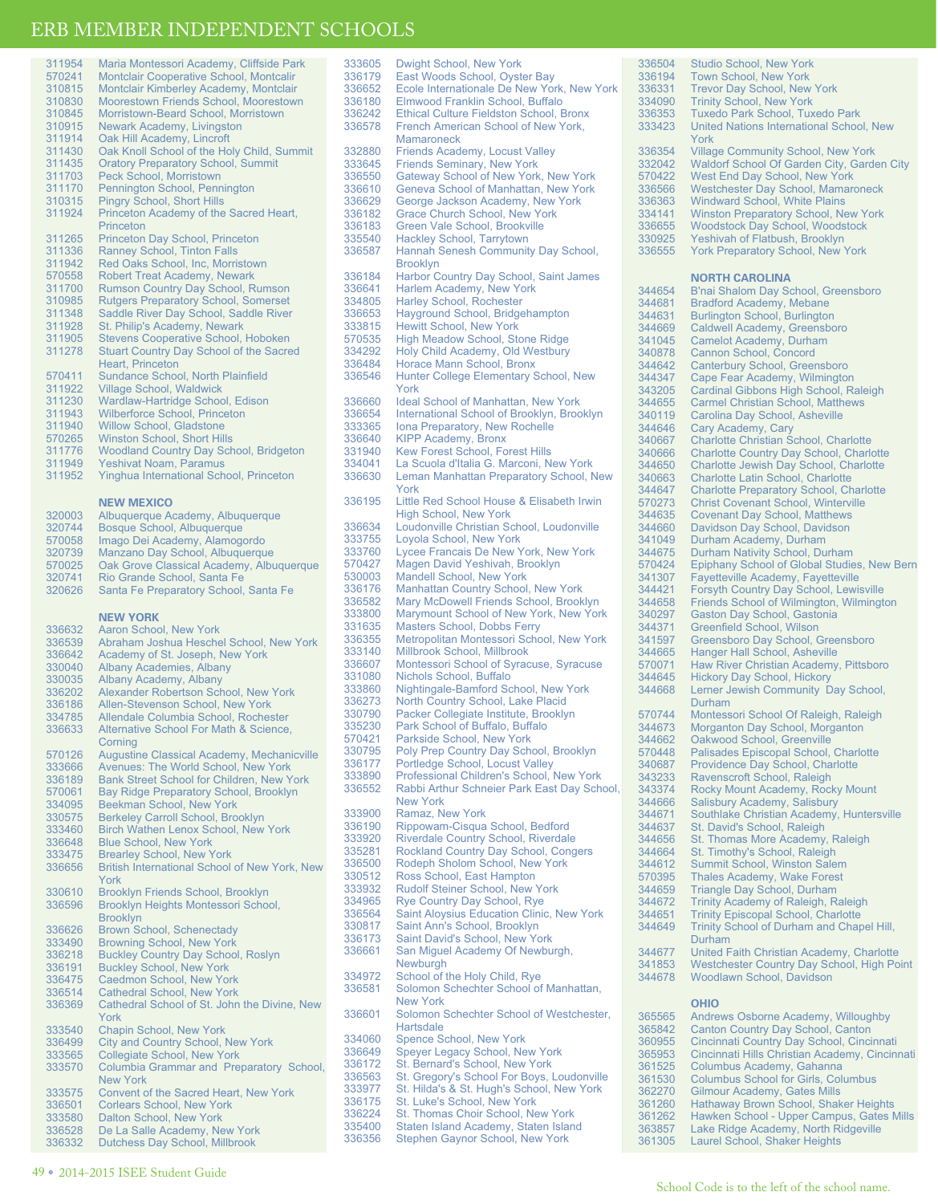## **SCHOOLS**

|                  | LKB MEMBEK INDEPENDEN<br>п                                                       |
|------------------|----------------------------------------------------------------------------------|
| 311954           | Maria Montessori Academy, Cliffside Park                                         |
| 570241           | Montclair Cooperative School, Montcalir                                          |
| 310815           | Montclair Kimberley Academy, Montclair                                           |
| 310830           | Moorestown Friends School, Moorestown                                            |
| 310845           | Morristown-Beard School, Morristown                                              |
| 310915           | <b>Newark Academy, Livingston</b>                                                |
| 311914           | Oak Hill Academy, Lincroft                                                       |
| 311430           | Oak Knoll School of the Holy Child, Summit                                       |
| 311435           | <b>Oratory Preparatory School, Summit</b>                                        |
| 311703           | Peck School, Morristown                                                          |
| 311170           | Pennington School, Pennington                                                    |
| 310315<br>311924 | <b>Pingry School, Short Hills</b><br>Princeton Academy of the Sacred Heart,      |
|                  | Princeton                                                                        |
| 311265           | Princeton Day School, Princeton                                                  |
| 311336           | <b>Ranney School, Tinton Falls</b>                                               |
| 311942           | Red Oaks School, Inc, Morristown                                                 |
| 570558           | <b>Robert Treat Academy, Newark</b>                                              |
| 311700           | <b>Rumson Country Day School, Rumson</b>                                         |
| 310985           | <b>Rutgers Preparatory School, Somerset</b>                                      |
| 311348           | Saddle River Day School, Saddle River                                            |
| 311928           | St. Philip's Academy, Newark                                                     |
| 311905           | <b>Stevens Cooperative School, Hoboken</b>                                       |
| 311278           | <b>Stuart Country Day School of the Sacred</b><br>Heart, Princeton               |
| 570411           | Sundance School, North Plainfield                                                |
| 311922           | <b>Village School, Waldwick</b>                                                  |
| 311230           | Wardlaw-Hartridge School, Edison                                                 |
| 311943           | <b>Wilberforce School, Princeton</b>                                             |
| 311940           | <b>Willow School, Gladstone</b>                                                  |
| 570265           | <b>Winston School, Short Hills</b>                                               |
| 311776           | <b>Woodland Country Day School, Bridgeton</b>                                    |
| 311949           | <b>Yeshivat Noam, Paramus</b>                                                    |
| 311952           | Yinghua International School, Princeton                                          |
|                  |                                                                                  |
|                  | <b>NEW MEXICO</b>                                                                |
| 320003<br>320744 | Albuquerque Academy, Albuquerque<br>Bosque School, Albuquerque                   |
| 570058           | Imago Dei Academy, Alamogordo                                                    |
| 320739           | Manzano Day School, Albuquerque                                                  |
| 570025           | Oak Grove Classical Academy, Albuquerque                                         |
| 320741           | Rio Grande School, Santa Fe                                                      |
| 320626           | Santa Fe Preparatory School, Santa Fe                                            |
|                  |                                                                                  |
|                  | <b>NEW YORK</b>                                                                  |
| 336632           | Aaron School, New York                                                           |
| 336539<br>336642 | Abraham Joshua Heschel School, New York<br>Academy of St. Joseph, New York       |
| 330040           | <b>Albany Academies, Albany</b>                                                  |
| 330035           | Albany Academy, Albany                                                           |
| 336202           | Alexander Robertson School, New York                                             |
| 336186           | Allen-Stevenson School, New York                                                 |
| 334785           | Allendale Columbia School, Rochester                                             |
| 336633           | Alternative School For Math & Science,                                           |
|                  | Corning                                                                          |
| 570126           | Augustine Classical Academy, Mechanicville                                       |
| 333666           | Avenues: The World School, New York<br>Bank Street School for Children, New York |
| 336189<br>570061 | Bay Ridge Preparatory School, Brooklyn                                           |
| 334095           | Beekman School, New York                                                         |
| 330575           | <b>Berkeley Carroll School, Brooklyn</b>                                         |
| 333460           | Birch Wathen Lenox School, New York                                              |
| 336648           | <b>Blue School, New York</b>                                                     |
| 333475           | <b>Brearley School, New York</b>                                                 |
| 336656           | British International School of New York, New                                    |
|                  | York                                                                             |
| 330610           | Brooklyn Friends School, Brooklyn                                                |
| 336596           | Brooklyn Heights Montessori School,                                              |
|                  | <b>Brooklyn</b><br>Brown School, Schenectady                                     |
| 336626<br>333490 | <b>Browning School, New York</b>                                                 |
| 336218           | <b>Buckley Country Day School, Roslyn</b>                                        |
| 336191           | Buckley School, New York                                                         |
| 336475           | Caedmon School, New York                                                         |

336475 Caedmon School, New York 336514 Cathedral School, New York 336369 Cathedral School of St. John the Divine, New York 333540 Chapin School, New York<br>336499 City and Country School, I 336499 City and Country School, New York 333565 Collegiate School, New York<br>333570 Columbia Grammar and Pre Columbia Grammar and Preparatory School, New York 333575 Convent of the Sacred Heart, New York<br>336501 Corlears School, New York<br>333580 Dalton School, New York **Corlears School, New York** 

Dalton School, New York 336528 De La Salle Academy, New York 336332 Dutchess Day School, Millbrook

| 333605 | Dwight School, New York                        |  |  |
|--------|------------------------------------------------|--|--|
|        |                                                |  |  |
| 336179 | East Woods School, Oyster Bay                  |  |  |
| 336652 | Ecole Internationale De New York, New York     |  |  |
| 336180 | Elmwood Franklin School, Buffalo               |  |  |
| 336242 | <b>Ethical Culture Fieldston School, Bronx</b> |  |  |
| 336578 | French American School of New York,            |  |  |
|        |                                                |  |  |
|        | <b>Mamaroneck</b>                              |  |  |
| 332880 | <b>Friends Academy, Locust Valley</b>          |  |  |
| 333645 | <b>Friends Seminary, New York</b>              |  |  |
| 336550 | Gateway School of New York, New York           |  |  |
| 336610 | Geneva School of Manhattan, New York           |  |  |
| 336629 | George Jackson Academy, New York               |  |  |
|        |                                                |  |  |
| 336182 | <b>Grace Church School, New York</b>           |  |  |
| 336183 | Green Vale School, Brookville                  |  |  |
| 335540 | <b>Hackley School, Tarrytown</b>               |  |  |
| 336587 | Hannah Senesh Community Day School,            |  |  |
|        | <b>Brooklyn</b>                                |  |  |
| 336184 | <b>Harbor Country Day School, Saint James</b>  |  |  |
| 336641 | Harlem Academy, New York                       |  |  |
|        |                                                |  |  |
| 334805 | <b>Harley School, Rochester</b>                |  |  |
| 336653 | Hayground School, Bridgehampton                |  |  |
| 333815 | <b>Hewitt School, New York</b>                 |  |  |
| 570535 | <b>High Meadow School, Stone Ridge</b>         |  |  |
| 334292 | Holy Child Academy, Old Westbury               |  |  |
| 336484 | Horace Mann School, Bronx                      |  |  |
|        |                                                |  |  |
| 336546 | Hunter College Elementary School, New          |  |  |
|        | York                                           |  |  |
| 336660 | <b>Ideal School of Manhattan, New York</b>     |  |  |
| 336654 | International School of Brooklyn, Brooklyn     |  |  |
| 333365 | Iona Preparatory, New Rochelle                 |  |  |
| 336640 | <b>KIPP Academy, Bronx</b>                     |  |  |
| 331940 | Kew Forest School, Forest Hills                |  |  |
| 334041 | La Scuola d'Italia G. Marconi, New York        |  |  |
|        |                                                |  |  |
| 336630 | Leman Manhattan Preparatory School, New        |  |  |
|        | York                                           |  |  |
| 336195 | Little Red School House & Elisabeth Irwin      |  |  |
|        | <b>High School, New York</b>                   |  |  |
| 336634 | Loudonville Christian School, Loudonville      |  |  |
| 333755 | Loyola School, New York                        |  |  |
|        |                                                |  |  |
| 333760 | Lycee Francais De New York, New York           |  |  |
| 570427 | Magen David Yeshivah, Brooklyn                 |  |  |
| 530003 | <b>Mandell School, New York</b>                |  |  |
| 336176 | Manhattan Country School, New York             |  |  |
| 336582 | Mary McDowell Friends School, Brooklyn         |  |  |
| 333800 | Marymount School of New York, New York         |  |  |
| 331635 | Masters School, Dobbs Ferry                    |  |  |
|        | Metropolitan Montessori School, New York       |  |  |
| 336355 |                                                |  |  |
| 333140 | Millbrook School, Millbrook                    |  |  |
| 336607 | Montessori School of Syracuse, Syracuse        |  |  |
| 331080 | Nichols School, Buffalo                        |  |  |
| 333860 | Nightingale-Bamford School, New York           |  |  |
| 336273 | North Country School, Lake Placid              |  |  |
| 330790 | Packer Collegiate Institute, Brooklyn          |  |  |
| 335230 | Park School of Buffalo, Buffalo                |  |  |
|        |                                                |  |  |
| 570421 | Parkside School, New York                      |  |  |
| 330795 | Poly Prep Country Day School, Brooklyn         |  |  |
| 336177 | Portledge School, Locust Valley                |  |  |
| 333890 | Professional Children's School, New York       |  |  |
| 336552 | Rabbi Arthur Schneier Park East Day School,    |  |  |
|        | <b>New York</b>                                |  |  |
| 333900 | Ramaz, New York                                |  |  |
| 336190 | Rippowam-Cisqua School, Bedford                |  |  |
|        | Riverdale Country School, Riverdale            |  |  |
| 333920 |                                                |  |  |
| 335281 | Rockland Country Day School, Congers           |  |  |
| 336500 | Rodeph Sholom School, New York                 |  |  |
| 330512 | Ross School, East Hampton                      |  |  |
| 333932 | Rudolf Steiner School, New York                |  |  |
| 334965 | Rye Country Day School, Rye                    |  |  |
| 336564 | Saint Aloysius Education Clinic, New York      |  |  |
| 330817 | Saint Ann's School, Brooklyn                   |  |  |
| 336173 | Saint David's School, New York                 |  |  |
|        |                                                |  |  |
| 336661 | San Miquel Academy Of Newburgh,                |  |  |
|        | Newburgh                                       |  |  |
| 334972 | School of the Holy Child, Rye                  |  |  |
| 336581 | Solomon Schechter School of Manhattan,         |  |  |
|        | <b>New York</b>                                |  |  |
| 336601 | Solomon Schechter School of Westchester,       |  |  |
|        | Hartsdale                                      |  |  |
|        |                                                |  |  |
| 334060 | Spence School, New York                        |  |  |
| 336649 | Speyer Legacy School, New York                 |  |  |
| 336172 | St. Bernard's School, New York                 |  |  |
| 336563 | St. Gregory's School For Boys, Loudonville     |  |  |
| 333977 | St. Hilda's & St. Hugh's School, New York      |  |  |
| 336175 | St. Luke's School, New York                    |  |  |
| 336224 | St. Thomas Choir School, New York              |  |  |
| 335400 |                                                |  |  |
|        | Staten Island Academy, Staten Island           |  |  |
| 336356 | <b>Stephen Gaynor School, New York</b>         |  |  |

Stephen Gaynor School, New York

| 336504 | <b>Studio School, New York</b>                                            |  |  |
|--------|---------------------------------------------------------------------------|--|--|
| 336194 | <b>Town School, New York</b>                                              |  |  |
| 336331 | <b>Trevor Day School, New York</b>                                        |  |  |
| 334090 | <b>Trinity School, New York</b>                                           |  |  |
| 336353 | <b>Tuxedo Park School, Tuxedo Park</b>                                    |  |  |
| 333423 | United Nations International School, New                                  |  |  |
|        | York                                                                      |  |  |
| 336354 | <b>Village Community School, New York</b>                                 |  |  |
| 332042 | Waldorf School Of Garden City, Garden City                                |  |  |
| 570422 | West End Day School, New York                                             |  |  |
| 336566 | <b>Westchester Day School, Mamaroneck</b>                                 |  |  |
| 336363 | <b>Windward School, White Plains</b>                                      |  |  |
| 334141 | <b>Winston Preparatory School, New York</b>                               |  |  |
| 336655 | <b>Woodstock Day School, Woodstock</b>                                    |  |  |
| 330925 | Yeshivah of Flatbush, Brooklyn                                            |  |  |
| 336555 | <b>York Preparatory School, New York</b>                                  |  |  |
|        |                                                                           |  |  |
|        | <b>NORTH CAROLINA</b>                                                     |  |  |
|        |                                                                           |  |  |
| 344654 | B'nai Shalom Day School, Greensboro                                       |  |  |
| 344681 | <b>Bradford Academy, Mebane</b>                                           |  |  |
| 344631 | <b>Burlington School, Burlington</b>                                      |  |  |
| 344669 | Caldwell Academy, Greensboro                                              |  |  |
| 341045 | Camelot Academy, Durham                                                   |  |  |
| 340878 | Cannon School, Concord                                                    |  |  |
| 344642 | Canterbury School, Greensboro                                             |  |  |
| 344347 | Cape Fear Academy, Wilmington                                             |  |  |
| 343205 | Cardinal Gibbons High School, Raleigh                                     |  |  |
| 344655 | <b>Carmel Christian School, Matthews</b>                                  |  |  |
| 340119 | Carolina Day School, Asheville                                            |  |  |
| 344646 | Cary Academy, Cary                                                        |  |  |
| 340667 | <b>Charlotte Christian School, Charlotte</b>                              |  |  |
| 340666 | <b>Charlotte Country Day School, Charlotte</b>                            |  |  |
| 344650 | Charlotte Jewish Day School, Charlotte                                    |  |  |
| 340663 | Charlotte Latin School, Charlotte                                         |  |  |
| 344647 | <b>Charlotte Preparatory School, Charlotte</b>                            |  |  |
| 570273 | <b>Christ Covenant School, Winterville</b>                                |  |  |
| 344635 | <b>Covenant Day School, Matthews</b>                                      |  |  |
| 344660 | Davidson Day School, Davidson                                             |  |  |
| 341049 | Durham Academy, Durham                                                    |  |  |
| 344675 | Durham Nativity School, Durham                                            |  |  |
| 570424 | Epiphany School of Global Studies, New Bern                               |  |  |
| 341307 | <b>Fayetteville Academy, Fayetteville</b>                                 |  |  |
| 344421 | Forsyth Country Day School, Lewisville                                    |  |  |
| 344658 | Friends School of Wilmington, Wilmington                                  |  |  |
| 340297 | Gaston Day School, Gastonia                                               |  |  |
| 344371 | <b>Greenfield School, Wilson</b>                                          |  |  |
| 341597 | Greensboro Day School, Greensboro                                         |  |  |
| 344665 | Hanger Hall School, Asheville                                             |  |  |
| 570071 | Haw River Christian Academy, Pittsboro                                    |  |  |
| 344645 |                                                                           |  |  |
| 344668 | <b>Hickory Day School, Hickory</b><br>Lerner Jewish Community Day School, |  |  |
|        | Durham                                                                    |  |  |
| 570744 |                                                                           |  |  |
|        | Montessori School Of Raleigh, Raleigh                                     |  |  |
| 344673 | Morganton Day School, Morganton                                           |  |  |
| 344662 | Oakwood School, Greenville                                                |  |  |
| 570448 | Palisades Episcopal School, Charlotte                                     |  |  |
| 340687 | Providence Day School, Charlotte                                          |  |  |
| 343233 | Ravenscroft School, Raleigh                                               |  |  |
| 343374 | Rocky Mount Academy, Rocky Mount                                          |  |  |
| 344666 | Salisbury Academy, Salisbury                                              |  |  |
| 344671 | Southlake Christian Academy, Huntersville                                 |  |  |
| 344637 | St. David's School, Raleigh                                               |  |  |
| 344656 | St. Thomas More Academy, Raleigh                                          |  |  |
| 344664 | St. Timothy's School, Raleigh                                             |  |  |
| 344612 | <b>Summit School, Winston Salem</b>                                       |  |  |
| 570395 | <b>Thales Academy, Wake Forest</b>                                        |  |  |
| 344659 | Triangle Day School, Durham                                               |  |  |
| 344672 | <b>Trinity Academy of Raleigh, Raleigh</b>                                |  |  |
| 344651 | <b>Trinity Episcopal School, Charlotte</b>                                |  |  |
| 344649 | Trinity School of Durham and Chapel Hill,                                 |  |  |
|        | Durham                                                                    |  |  |
| 344677 | United Faith Christian Academy, Charlotte                                 |  |  |
| 341853 | Westchester Country Day School, High Point                                |  |  |
| 344678 | Woodlawn School, Davidson                                                 |  |  |
|        |                                                                           |  |  |
|        | <b>OHIO</b>                                                               |  |  |
| 365565 | Andrews Osborne Academy, Willoughby                                       |  |  |
| 365842 | Canton Country Day School, Canton                                         |  |  |
| 360955 | Cincinnati Country Day School, Cincinnati                                 |  |  |
| 365953 | Cincinnati Hills Christian Academy, Cincinnati                            |  |  |
| 361525 | Columbus Academy, Gahanna                                                 |  |  |

| 360955 | Cincinnati Country Day School, Cincinnati      |
|--------|------------------------------------------------|
| 365953 | Cincinnati Hills Christian Academy, Cincinnati |
| 361525 | Columbus Academy, Gahanna                      |
| 361530 | <b>Columbus School for Girls, Columbus</b>     |
| 362270 | <b>Gilmour Academy, Gates Mills</b>            |
| 361260 | Hathaway Brown School, Shaker Heights          |
| 361262 | Hawken School - Upper Campus, Gates Mills      |
| 363857 | Lake Ridge Academy, North Ridgeville           |
| 361305 | <b>Laurel School, Shaker Heights</b>           |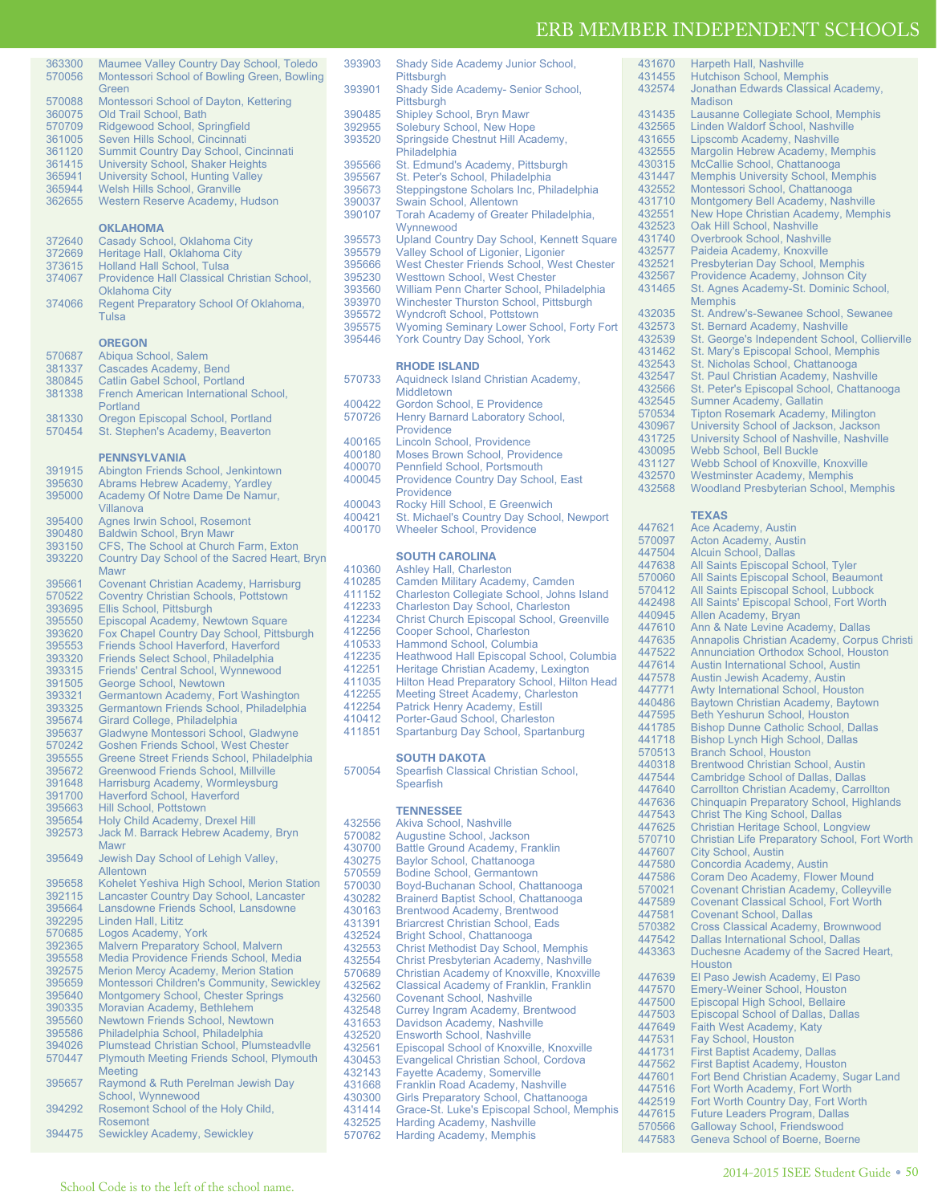431670 Harpeth Hall, Nashville<br>431455 Hutchison School, Men 431455 Hutchison School, Memphis<br>432574 Jonathan Edwards Classica

Madison

Jonathan Edwards Classical Academy,

| 363300           | Maumee Valley Country Day School, Toledo                                         |  |  |  |
|------------------|----------------------------------------------------------------------------------|--|--|--|
| 570056           | Montessori School of Bowling Green, Bowling<br>Green                             |  |  |  |
| 570088           | Montessori School of Dayton, Kettering                                           |  |  |  |
| 360075           | Old Trail School, Bath                                                           |  |  |  |
| 570709           | Ridgewood School, Springfield                                                    |  |  |  |
| 361005           | Seven Hills School, Cincinnati                                                   |  |  |  |
| 361120           | <b>Summit Country Day School, Cincinnati</b>                                     |  |  |  |
| 361415           |                                                                                  |  |  |  |
| 365941           | <b>University School, Shaker Heights</b>                                         |  |  |  |
| 365944           | <b>University School, Hunting Valley</b><br><b>Welsh Hills School, Granville</b> |  |  |  |
| 362655           | <b>Western Reserve Academy, Hudson</b>                                           |  |  |  |
|                  |                                                                                  |  |  |  |
|                  | <b>OKLAHOMA</b>                                                                  |  |  |  |
| 372640           | Casady School, Oklahoma City                                                     |  |  |  |
| 372669           | Heritage Hall, Oklahoma City                                                     |  |  |  |
| 373615           | <b>Holland Hall School, Tulsa</b>                                                |  |  |  |
| 374067           | Providence Hall Classical Christian School,                                      |  |  |  |
|                  | <b>Oklahoma City</b>                                                             |  |  |  |
| 374066           | Regent Preparatory School Of Oklahoma,<br>Tulsa                                  |  |  |  |
|                  |                                                                                  |  |  |  |
|                  | <b>OREGON</b>                                                                    |  |  |  |
| 570687           | Abiqua School, Salem                                                             |  |  |  |
| 381337           | Cascades Academy, Bend                                                           |  |  |  |
| 380845           | Catlin Gabel School, Portland                                                    |  |  |  |
| 381338           | French American International School,                                            |  |  |  |
|                  | Portland                                                                         |  |  |  |
| 381330           | Oregon Episcopal School, Portland                                                |  |  |  |
| 570454           | St. Stephen's Academy, Beaverton                                                 |  |  |  |
|                  | <b>PENNSYLVANIA</b>                                                              |  |  |  |
| 391915           | Abington Friends School, Jenkintown                                              |  |  |  |
| 395630           | Abrams Hebrew Academy, Yardley                                                   |  |  |  |
| 395000           | Academy Of Notre Dame De Namur.                                                  |  |  |  |
|                  | Villanova                                                                        |  |  |  |
| 395400           | Agnes Irwin School, Rosemont                                                     |  |  |  |
| 390480           | Baldwin School, Bryn Mawr                                                        |  |  |  |
| 393150           | CFS, The School at Church Farm, Exton                                            |  |  |  |
| 393220           | Country Day School of the Sacred Heart, Bryn                                     |  |  |  |
|                  | <b>Mawr</b>                                                                      |  |  |  |
| 395661           | <b>Covenant Christian Academy, Harrisburg</b>                                    |  |  |  |
| 570522           | <b>Coventry Christian Schools, Pottstown</b>                                     |  |  |  |
| 393695           | Ellis School, Pittsburgh                                                         |  |  |  |
| 395550<br>393620 | Episcopal Academy, Newtown Square<br>Fox Chapel Country Day School, Pittsburgh   |  |  |  |
| 395553           | Friends School Haverford, Haverford                                              |  |  |  |
| 393320           | Friends Select School, Philadelphia                                              |  |  |  |
| 393315           | Friends' Central School, Wynnewood                                               |  |  |  |
| 391505           | George School, Newtown                                                           |  |  |  |
| 393321           | Germantown Academy, Fort Washington                                              |  |  |  |
| 393325           | Germantown Friends School, Philadelphia                                          |  |  |  |
| 395674           | Girard College, Philadelphia                                                     |  |  |  |
| 395637           | Gladwyne Montessori School, Gladwyne                                             |  |  |  |
| 570242           | <b>Goshen Friends School, West Chester</b>                                       |  |  |  |
| 395555           | Greene Street Friends School, Philadelphia                                       |  |  |  |
| 395672           | <b>Greenwood Friends School, Millville</b>                                       |  |  |  |
| 391648           | Harrisburg Academy, Wormleysburg                                                 |  |  |  |
| 391700           | Haverford School, Haverford<br><b>Hill School. Pottstown</b>                     |  |  |  |
| 395663<br>395654 | Holy Child Academy, Drexel Hill                                                  |  |  |  |
| 392573           | Jack M. Barrack Hebrew Academy, Bryn                                             |  |  |  |
|                  | Mawr                                                                             |  |  |  |
| 395649           | Jewish Day School of Lehigh Valley,                                              |  |  |  |
|                  | Allentown                                                                        |  |  |  |
| 395658           | Kohelet Yeshiva High School, Merion Station                                      |  |  |  |
| 392115           | Lancaster Country Day School, Lancaster                                          |  |  |  |
| 395664           | Lansdowne Friends School, Lansdowne                                              |  |  |  |
| 392295           | Linden Hall, Lititz                                                              |  |  |  |
| 570685           | Logos Academy, York<br><b>Malvern Preparatory School, Malvern</b>                |  |  |  |
| 392365<br>395558 | Media Providence Friends School, Media                                           |  |  |  |
| 392575           | Merion Mercy Academy, Merion Station                                             |  |  |  |
| 395659           | Montessori Children's Community, Sewickley                                       |  |  |  |
| 395640           | Montgomery School, Chester Springs                                               |  |  |  |
| 390335           | Moravian Academy, Bethlehem                                                      |  |  |  |
| 395560           | Newtown Friends School, Newtown                                                  |  |  |  |
| 395586           | Philadelphia School, Philadelphia                                                |  |  |  |
| 394026           | Plumstead Christian School, Plumsteadvlle                                        |  |  |  |
| 570447           | <b>Plymouth Meeting Friends School, Plymouth</b>                                 |  |  |  |
|                  | <b>Meeting</b>                                                                   |  |  |  |
| 395657           | Raymond & Ruth Perelman Jewish Day                                               |  |  |  |
|                  | School, Wynnewood                                                                |  |  |  |
| 394292           | Rosemont School of the Holy Child,                                               |  |  |  |
| 394475           | <b>Rosemont</b><br><b>Sewickley Academy, Sewickley</b>                           |  |  |  |
|                  |                                                                                  |  |  |  |

| 390485 | <b>Shipley School, Bryn Mawr</b>                  | 431435 | Lausanne Collegiate School, Memphis             |
|--------|---------------------------------------------------|--------|-------------------------------------------------|
| 392955 | Solebury School, New Hope                         | 432565 | Linden Waldorf School, Nashville                |
| 393520 | Springside Chestnut Hill Academy,                 | 431655 | Lipscomb Academy, Nashville                     |
|        | Philadelphia                                      | 432555 | Margolin Hebrew Academy, Memphis                |
| 395566 | St. Edmund's Academy, Pittsburgh                  | 430315 | McCallie School, Chattanooga                    |
| 395567 | St. Peter's School, Philadelphia                  | 431447 | <b>Memphis University School, Memphis</b>       |
| 395673 | Steppingstone Scholars Inc, Philadelphia          | 432552 | Montessori School, Chattanooga                  |
| 390037 | Swain School, Allentown                           | 431710 | Montgomery Bell Academy, Nashville              |
| 390107 | Torah Academy of Greater Philadelphia,            | 432551 | New Hope Christian Academy, Memphis             |
|        | Wynnewood                                         | 432523 | Oak Hill School, Nashville                      |
| 395573 | <b>Upland Country Day School, Kennett Square</b>  | 431740 | Overbrook School, Nashville                     |
| 395579 | Valley School of Ligonier, Ligonier               | 432577 | Paideia Academy, Knoxville                      |
| 395666 | West Chester Friends School, West Chester         | 432521 | Presbyterian Day School, Memphis                |
| 395230 | <b>Westtown School, West Chester</b>              | 432567 | Providence Academy, Johnson City                |
| 393560 | William Penn Charter School, Philadelphia         | 431465 | St. Agnes Academy-St. Dominic School,           |
| 393970 | <b>Winchester Thurston School, Pittsburgh</b>     |        | <b>Memphis</b>                                  |
| 395572 | <b>Wyndcroft School, Pottstown</b>                | 432035 | St. Andrew's-Sewanee School, Sewanee            |
| 395575 | Wyoming Seminary Lower School, Forty Fort         | 432573 | St. Bernard Academy, Nashville                  |
| 395446 | <b>York Country Day School, York</b>              | 432539 | St. George's Independent School, Collierville   |
|        |                                                   | 431462 | St. Mary's Episcopal School, Memphis            |
|        | <b>RHODE ISLAND</b>                               | 432543 | St. Nicholas School, Chattanooga                |
| 570733 | Aquidneck Island Christian Academy,               | 432547 | St. Paul Christian Academy, Nashville           |
|        | <b>Middletown</b>                                 | 432566 | St. Peter's Episcopal School, Chattanooga       |
| 400422 | Gordon School, E Providence                       | 432545 | Sumner Academy, Gallatin                        |
| 570726 | Henry Barnard Laboratory School,                  | 570534 | <b>Tipton Rosemark Academy, Milington</b>       |
|        | Providence                                        | 430967 | University School of Jackson, Jackson           |
| 400165 | Lincoln School, Providence                        | 431725 | University School of Nashville, Nashville       |
| 400180 | <b>Moses Brown School, Providence</b>             | 430095 | <b>Webb School, Bell Buckle</b>                 |
| 400070 | Pennfield School, Portsmouth                      | 431127 | Webb School of Knoxville, Knoxville             |
| 400045 | Providence Country Day School, East               | 432570 | <b>Westminster Academy, Memphis</b>             |
|        | Providence                                        | 432568 | <b>Woodland Presbyterian School, Memphis</b>    |
| 400043 | Rocky Hill School, E Greenwich                    |        |                                                 |
| 400421 | St. Michael's Country Day School, Newport         |        | <b>TEXAS</b>                                    |
| 400170 | <b>Wheeler School, Providence</b>                 | 447621 | Ace Academy, Austin                             |
|        |                                                   | 570097 | Acton Academy, Austin                           |
|        | <b>SOUTH CAROLINA</b>                             | 447504 | <b>Alcuin School, Dallas</b>                    |
| 410360 | <b>Ashley Hall, Charleston</b>                    | 447638 | All Saints Episcopal School, Tyler              |
| 410285 | Camden Military Academy, Camden                   | 570060 | All Saints Episcopal School, Beaumont           |
| 411152 | Charleston Collegiate School, Johns Island        | 570412 | All Saints Episcopal School, Lubbock            |
| 412233 | <b>Charleston Day School, Charleston</b>          | 442498 | All Saints' Episcopal School, Fort Worth        |
| 412234 | <b>Christ Church Episcopal School, Greenville</b> | 440945 | Allen Academy, Bryan                            |
| 412256 | Cooper School, Charleston                         | 447610 | Ann & Nate Levine Academy, Dallas               |
| 410533 | Hammond School, Columbia                          | 447635 | Annapolis Christian Academy, Corpus Christi     |
| 412235 | Heathwood Hall Episcopal School, Columbia         | 447522 | <b>Annunciation Orthodox School, Houston</b>    |
| 412251 | Heritage Christian Academy, Lexington             | 447614 | Austin International School, Austin             |
| 411035 | Hilton Head Preparatory School, Hilton Head       | 447578 | Austin Jewish Academy, Austin                   |
| 412255 | <b>Meeting Street Academy, Charleston</b>         | 447771 | Awty International School, Houston              |
| 412254 | Patrick Henry Academy, Estill                     | 440486 | Baytown Christian Academy, Baytown              |
| 410412 | Porter-Gaud School, Charleston                    | 447595 | Beth Yeshurun School, Houston                   |
| 411851 | Spartanburg Day School, Spartanburg               | 441785 | <b>Bishop Dunne Catholic School, Dallas</b>     |
|        |                                                   | 441718 | Bishop Lynch High School, Dallas                |
|        | <b>SOUTH DAKOTA</b>                               | 570513 | <b>Branch School, Houston</b>                   |
| 570054 |                                                   | 440318 | <b>Brentwood Christian School, Austin</b>       |
|        | Spearfish Classical Christian School,             | 447544 | <b>Cambridge School of Dallas, Dallas</b>       |
|        | Spearfish                                         | 447640 | Carrollton Christian Academy, Carrollton        |
|        |                                                   | 447636 | <b>Chinquapin Preparatory School, Highlands</b> |
|        | <b>TENNESSEE</b>                                  | 447543 | <b>Christ The King School, Dallas</b>           |
| 432556 | Akiva School, Nashville                           | 44/625 | Christian Heritage School, Longview             |
| 570082 | Augustine School, Jackson                         | 570710 | Christian Life Preparatory School, Fort Worth   |
| 430700 | Battle Ground Academy, Franklin                   | 447607 | <b>City School, Austin</b>                      |
| 430275 | Baylor School, Chattanooga                        | 447580 | Concordia Academy, Austin                       |
| 570559 | <b>Bodine School, Germantown</b>                  | 447586 | Coram Deo Academy, Flower Mound                 |
| 570030 | Boyd-Buchanan School, Chattanooga                 | 570021 | <b>Covenant Christian Academy, Colleyville</b>  |
| 430282 | Brainerd Baptist School, Chattanooga              | 447589 | <b>Covenant Classical School, Fort Worth</b>    |
| 430163 | Brentwood Academy, Brentwood                      | 447581 | <b>Covenant School, Dallas</b>                  |
| 431391 | <b>Briarcrest Christian School, Eads</b>          | 570382 | Cross Classical Academy, Brownwood              |
| 432524 | Bright School, Chattanooga                        | 447542 | Dallas International School, Dallas             |
| 432553 | <b>Christ Methodist Day School, Memphis</b>       | 443363 | Duchesne Academy of the Sacred Heart,           |
| 432554 | Christ Presbyterian Academy, Nashville            |        | Houston                                         |
| 570689 | Christian Academy of Knoxville, Knoxville         | 447639 | El Paso Jewish Academy, El Paso                 |
| 432562 | Classical Academy of Franklin, Franklin           | 447570 | <b>Emery-Weiner School, Houston</b>             |
| 432560 | <b>Covenant School, Nashville</b>                 | 447500 | Episcopal High School, Bellaire                 |
| 432548 | Currey Ingram Academy, Brentwood                  | 447503 | <b>Episcopal School of Dallas, Dallas</b>       |
| 431653 | Davidson Academy, Nashville                       | 447649 | Faith West Academy, Katy                        |
| 432520 | Ensworth School, Nashville                        | 447531 | Fay School, Houston                             |
| 432561 | Episcopal School of Knoxville, Knoxville          | 441731 | <b>First Baptist Academy, Dallas</b>            |
| 430453 | Evangelical Christian School, Cordova             | 447562 | <b>First Baptist Academy, Houston</b>           |
| 432143 | Fayette Academy, Somerville                       | 447601 | Fort Bend Christian Academy, Sugar Land         |
| 431668 | Franklin Road Academy, Nashville                  | 447516 | Fort Worth Academy, Fort Worth                  |
| 430300 | Girls Preparatory School, Chattanooga             | 442519 | Fort Worth Country Day, Fort Worth              |
| 431414 | Grace-St. Luke's Episcopal School, Memphis        | 447615 | <b>Future Leaders Program, Dallas</b>           |
| 432525 | Harding Academy, Nashville                        | 570566 | Galloway School, Friendswood                    |
| 570762 | <b>Harding Academy, Memphis</b>                   | 447583 | Geneva School of Boerne, Boerne                 |
|        |                                                   |        |                                                 |

393903 Shady Side Academy Junior School,

393901 Shady Side Academy- Senior School,

Pittsburgh

Pittsburgh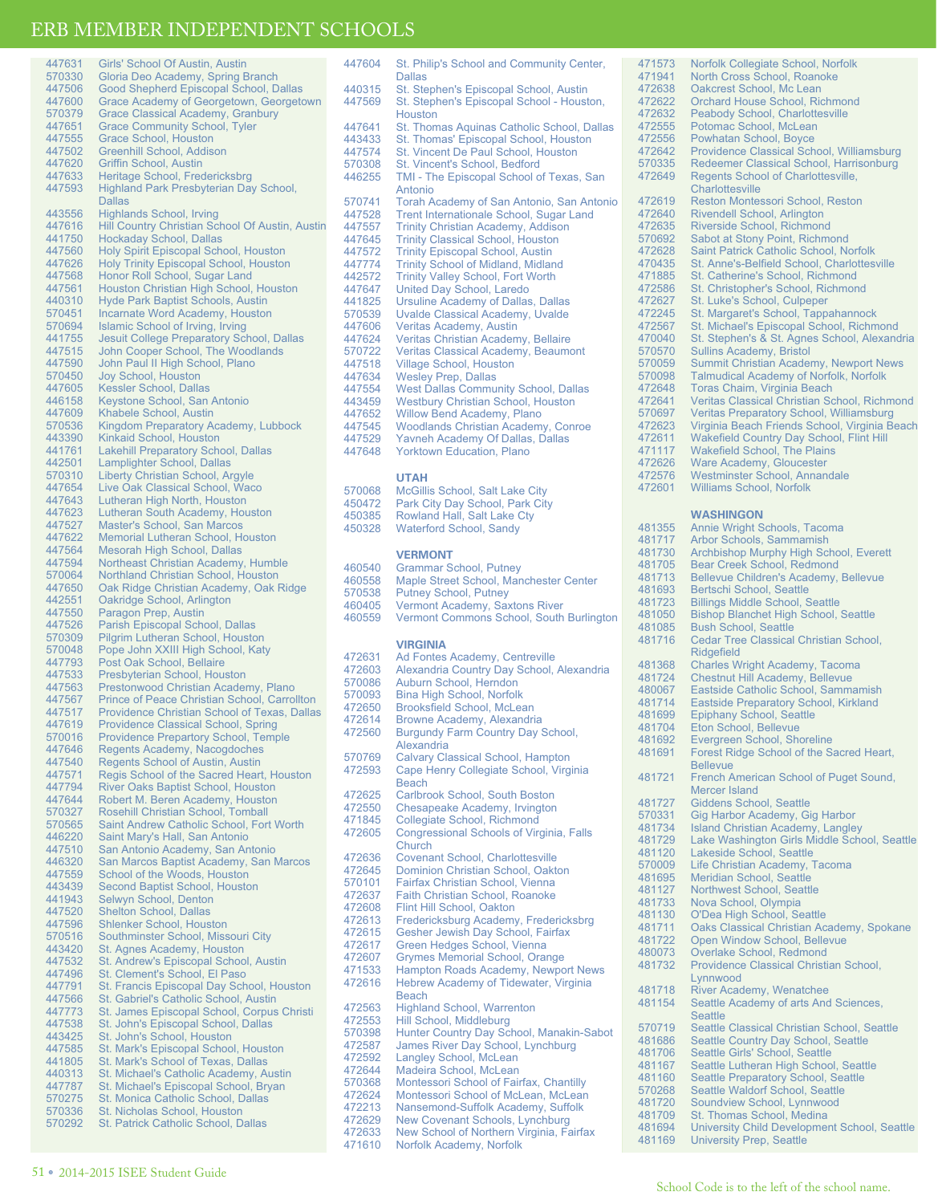| 447631                               | Girls' School Of Austin, Austin                                                |
|--------------------------------------|--------------------------------------------------------------------------------|
| 570330<br>447506                     | Gloria Deo Academy, Spring Branch<br>Good Shepherd Episcopal School, Dallas    |
| 447600                               | Grace Academy of Georgetown, Georgetown                                        |
| 570379                               | <b>Grace Classical Academy, Granbury</b>                                       |
| 447651                               | <b>Grace Community School, Tyler</b>                                           |
| 447555                               | <b>Grace School, Houston</b>                                                   |
| 447502                               | Greenhill School, Addison                                                      |
| 447620<br>447633                     | Griffin School, Austin<br>Heritage School, Fredericksbrg                       |
| 447593                               | Highland Park Presbyterian Day School,                                         |
|                                      | <b>Dallas</b>                                                                  |
| 443556                               | <b>Highlands School, Irving</b>                                                |
| 447616                               | Hill Country Christian School Of Austin, Austin                                |
| 441750<br>447560                     | <b>Hockaday School, Dallas</b><br><b>Holy Spirit Episcopal School, Houston</b> |
| 447626                               | <b>Holy Trinity Episcopal School, Houston</b>                                  |
| 447568                               | Honor Roll School, Sugar Land                                                  |
| 447561                               | Houston Christian High School, Houston                                         |
| 440310                               | Hyde Park Baptist Schools, Austin                                              |
| 570451<br>570694                     | <b>Incarnate Word Academy, Houston</b><br>Islamic School of Irving, Irving     |
| 441755                               | <b>Jesuit College Preparatory School, Dallas</b>                               |
| 447515                               | John Cooper School, The Woodlands                                              |
| 447590                               | John Paul II High School, Plano                                                |
| 570450                               | Joy School, Houston                                                            |
| 447605<br>446158                     | Kessler School, Dallas<br>Keystone School, San Antonio                         |
| 447609                               | <b>Khabele School, Austin</b>                                                  |
| 570536                               | Kingdom Preparatory Academy, Lubbock                                           |
| 443390                               | Kinkaid School, Houston                                                        |
| 441761                               | <b>Lakehill Preparatory School, Dallas</b>                                     |
| 442501<br>570310                     | Lamplighter School, Dallas<br>Liberty Christian School, Argyle                 |
| 447654                               | Live Oak Classical School, Waco                                                |
| 447643                               | Lutheran High North, Houston                                                   |
| 447623                               | Lutheran South Academy, Houston                                                |
| 447527                               | Master's School, San Marcos                                                    |
| 447622<br>447564                     | <b>Memorial Lutheran School, Houston</b><br>Mesorah High School, Dallas        |
| 447594                               | Northeast Christian Academy, Humble                                            |
| 570064                               | Northland Christian School, Houston                                            |
| 447650                               | Oak Ridge Christian Academy, Oak Ridge                                         |
| 442551                               | Oakridge School, Arlington<br>Paragon Prep, Austin                             |
| 447550<br>447526                     | Parish Episcopal School, Dallas                                                |
| 570309                               | Pilgrim Lutheran School, Houston                                               |
| 570048                               | Pope John XXIII High School, Katy                                              |
| 447793                               | Post Oak School, Bellaire                                                      |
| 447533<br>447563                     | Presbyterian School, Houston<br>Prestonwood Christian Academy, Plano           |
| 447567                               | Prince of Peace Christian School, Carrollton                                   |
| 447517                               | Providence Christian School of Texas, Dallas                                   |
| 447619                               | <b>Providence Classical School, Spring</b>                                     |
| 570016                               | <b>Providence Prepartory School, Temple</b>                                    |
| 447646<br>447540                     | Regents Academy, Nacogdoches<br>Regents School of Austin, Austin               |
| 447571                               | Regis School of the Sacred Heart, Houston                                      |
| 447794                               | River Oaks Baptist School, Houston                                             |
| 447644                               | Robert M. Beren Academy, Houston                                               |
| 570327                               | Rosehill Christian School, Tomball                                             |
| 570565<br>446220                     | Saint Andrew Catholic School, Fort Worth<br>Saint Mary's Hall, San Antonio     |
| 447510                               | San Antonio Academy, San Antonio                                               |
| 446320                               | San Marcos Baptist Academy, San Marcos                                         |
| 447559                               | School of the Woods, Houston                                                   |
| 443439                               | Second Baptist School, Houston                                                 |
| 441943<br>447520                     | Selwyn School, Denton<br><b>Shelton School, Dallas</b>                         |
| 447596                               | <b>Shlenker School, Houston</b>                                                |
| 570516                               | Southminster School, Missouri City                                             |
| 443420                               | St. Agnes Academy, Houston                                                     |
| 447532                               | St. Andrew's Episcopal School, Austin                                          |
| 447496<br>447791                     | St. Clement's School, El Paso<br>St. Francis Episcopal Day School, Houston     |
| 447566                               | St. Gabriel's Catholic School, Austin                                          |
| 447773                               | St. James Episcopal School, Corpus Christi                                     |
| 447538                               | St. John's Episcopal School, Dallas                                            |
| 443425                               | St. John's School, Houston                                                     |
| 447585<br>441805                     | St. Mark's Episcopal School, Houston<br>St. Mark's School of Texas, Dallas     |
| 440313                               |                                                                                |
|                                      | St. Michael's Catholic Academy, Austin                                         |
|                                      | St. Michael's Episcopal School, Bryan                                          |
|                                      | St. Monica Catholic School, Dallas                                             |
| 447787<br>570275<br>570336<br>570292 | St. Nicholas School, Houston<br>St. Patrick Catholic School, Dallas            |

447604 St. Philip's School and Community Center, Dallas 440315 St. Stephen's Episcopal School, Austin<br>447569 St. Stephen's Episcopal School - Houst St. Stephen's Episcopal School - Houston, **Houston** 447641 St. Thomas Aquinas Catholic School, Dallas 443433 St. Thomas' Episcopal School, Houston<br>447574 St. Vincent De Paul School, Houston 447574 St. Vincent De Paul School, Houston<br>570308 St. Vincent's School, Bedford 570308 St. Vincent's School, Bedford<br>446255 TMI - The Episcopal School o TMI - The Episcopal School of Texas, San Antonio 570741 Torah Academy of San Antonio, San Antonio 447528 Trent Internationale School, Sugar Land<br>447557 Trinity Christian Academy, Addison 447557 Trinity Christian Academy, Addison<br>447645 Trinity Classical School Houston 447645 Trinity Classical School, Houston 447572 Trinity Episcopal School, Austin<br>447774 Trinity School of Midland, Midlar 447774 Trinity School of Midland, Midland<br>442572 Trinity Valley School, Fort Worth 442572 Trinity Valley School, Fort Worth<br>447647 United Day School, Laredo 447647 United Day School, Laredo 441825 Ursuline Academy of Dallas, Dallas 570539 Uvalde Classical Academy, Uvalde 447606 Veritas Academy, Austin<br>447624 Veritas Christian Academ 447624 Veritas Christian Academy, Bellaire<br>570722 Veritas Classical Academy, Beaumo 570722 Veritas Classical Academy, Beaumont<br>447518 Village School, Houston 447518 Village School, Houston<br>447634 Wesley Prep, Dallas 447634 Wesley Prep, Dallas 447554 West Dallas Community School, Dallas<br>443459 Westbury Christian School, Houston 443459 Westbury Christian School, Houston 447652 Willow Bend Academy, Plano<br>447545 Woodlands Christian Academy 447545 Woodlands Christian Academy, Conroe 447529 Yavneh Academy Of Dallas, Dallas<br>447648 Yorktown Education, Plano Yorktown Education, Plano

## **UTAH**

570068 McGillis School, Salt Lake City<br>450472 Park City Day School Park City 450472 Park City Day School, Park City 450385 Rowland Hall, Salt Lake Cty Waterford School, Sandy

### **VERMONT**

| 460540 | <b>Grammar School, Putney</b>            |
|--------|------------------------------------------|
| 460558 | Maple Street School, Manchester Center   |
| 570538 | <b>Putney School, Putney</b>             |
| 460405 | Vermont Academy, Saxtons River           |
| 460559 | Vermont Commons School, South Burlington |

### **VIRGINIA**

| 472631 | Ad Fontes Academy, Centreville                  |
|--------|-------------------------------------------------|
| 472603 | Alexandria Country Day School, Alexandria       |
| 570086 | Auburn School, Herndon                          |
| 570093 | <b>Bina High School, Norfolk</b>                |
| 472650 | <b>Brooksfield School, McLean</b>               |
| 472614 | Browne Academy, Alexandria                      |
| 472560 | <b>Burgundy Farm Country Day School,</b>        |
|        | Alexandria                                      |
| 570769 | <b>Calvary Classical School, Hampton</b>        |
| 472593 | Cape Henry Collegiate School, Virginia          |
|        | <b>Beach</b>                                    |
| 472625 | Carlbrook School, South Boston                  |
| 472550 | Chesapeake Academy, Irvington                   |
| 471845 | Collegiate School, Richmond                     |
| 472605 | <b>Congressional Schools of Virginia, Falls</b> |
|        | Church                                          |
| 472636 | <b>Covenant School, Charlottesville</b>         |
| 472645 | Dominion Christian School, Oakton               |
| 570101 | Fairfax Christian School, Vienna                |
| 472637 | <b>Faith Christian School, Roanoke</b>          |
| 472608 | Flint Hill School, Oakton                       |
| 472613 | Fredericksburg Academy, Fredericksbrg           |
| 472615 | Gesher Jewish Day School, Fairfax               |
| 472617 | Green Hedges School, Vienna                     |
| 472607 | <b>Grymes Memorial School, Orange</b>           |
| 471533 | Hampton Roads Academy, Newport News             |
| 472616 | Hebrew Academy of Tidewater, Virginia           |
|        | <b>Beach</b>                                    |
| 472563 | <b>Highland School, Warrenton</b>               |
| 472553 | Hill School, Middleburg                         |
| 570398 | Hunter Country Day School, Manakin-Sabot        |
| 472587 | James River Day School, Lynchburg               |
| 472592 | Langley School, McLean                          |
| 472644 | Madeira School, McLean                          |
| 570368 | Montessori School of Fairfax, Chantilly         |
| 472624 | Montessori School of McLean, McLean             |
| 472213 | Nansemond-Suffolk Academy, Suffolk              |
| 472629 | New Covenant Schools, Lynchburg                 |
| 472633 | New School of Northern Virginia, Fairfax        |
| 471610 | Norfolk Academy, Norfolk                        |

471573 Norfolk Collegiate School, Norfolk 471941 North Cross School, Roanoke<br>472638 Oakcrest School, Mc Lean 472638 Oakcrest School, Mc Lean<br>472622 Orchard House School, Ric 472622 Orchard House School, Richmond<br>472632 Peabody School, Charlottesville 472632 Peabody School, Charlottesville<br>472555 Potomac School McLean 472555 Potomac School, McLean<br>472556 Powbatan School, Boyce 472556 Powhatan School, Boyce<br>472642 Providence Classical Sch 472642 Providence Classical School, Williamsburg 570335 Redeemer Classical School, Harrisonburg<br>472649 Regents School of Charlottesville, Regents School of Charlottesville, **Charlottesville** 472619 Reston Montessori School, Reston<br>472640 Rivendell School, Arlington 472640 Rivendell School, Arlington<br>472635 Riverside School, Richmon 472635 Riverside School, Richmond<br>570692 Sabot at Stony Point Richmo 570692 Sabot at Stony Point, Richmond<br>472628 Saint Patrick Catholic School, No 472628 Saint Patrick Catholic School, Norfolk 470435 St. Anne's-Belfield School, Charlottesville 471885 St. Catherine's School, Richmond<br>472586 St. Christopher's School, Richmon 472586 St. Christopher's School, Richmond<br>472627 St. Luke's School, Culpeper 472627 St. Luke's School, Culpeper<br>472245 St. Margaret's School, Tapp 472245 St. Margaret's School, Tappahannock<br>472567 St. Michael's Episcopal School, Richm 472567 St. Michael's Episcopal School, Richmond<br>470040 St. Stephen's & St. Agnes School, Alexand 470040 St. Stephen's & St. Agnes School, Alexandria 570570 Sullins Academy, Bristol 570059 Summit Christian Academy, Newport News<br>570098 Talmudical Academy of Norfolk Norfolk 570098 Talmudical Academy of Norfolk, Norfolk<br>472648 Toras Chaim, Virginia Beach 472648 Toras Chaim, Virginia Beach 472641 Veritas Classical Christian School, Richmond 570697 Veritas Preparatory School, Williamsburg<br>472623 Virginia Beach Friends School, Virginia Be 472623 Virginia Beach Friends School, Virginia Beach 472611 Wakefield Country Day School, Flint Hill<br>471117 Wakefield School, The Plains 471117 Wakefield School, The Plains<br>472626 Ware Academy Gloucester 472626 Ware Academy, Gloucester<br>472576 Westminster School Annan 472576 Westminster School, Annandale<br>472601 Williams School, Norfolk Williams School, Norfolk **WASHINGON** 481355 Annie Wright Schools, Tacoma 481717 Arbor Schools, Sammamish<br>481730 Archbishop Murphy High Scl 481730 Archbishop Murphy High School, Everett 481705 Bear Creek School, Redmond<br>481713 Bellevue Children's Academy, 481713 Bellevue Children's Academy, Bellevue 481693 Bertschi School, Seattle<br>481723 Billings Middle School, S 481723 Billings Middle School, Seattle<br>481050 Bishop Blanchet High School, 481050 Bishop Blanchet High School, Seattle 481085 Bush School, Seattle<br>481716 Cedar Tree Classical Cedar Tree Classical Christian School, Ridgefield 481368 Charles Wright Academy, Tacoma 481724 Chestnut Hill Academy, Bellevue<br>480067 Eastside Catholic School, Samma 480067 Eastside Catholic School, Sammamish<br>481714 Eastside Preparatory School, Kirkland 481714 Eastside Preparatory School, Kirkland<br>481699 Epiphany School, Seattle 481699 Epiphany School, Seattle<br>481704 Eton School, Bellevue 481704 Eton School, Bellevue<br>481692 Evergreen School, Sho 481692 Evergreen School, Shoreline<br>481691 Forest Ridge School of the S Forest Ridge School of the Sacred Heart, Bellevue 481721 French American School of Puget Sound, Mercer Island 481727 Giddens School, Seattle<br>570331 Gig Harbor Academy, Gi 570331 Gig Harbor Academy, Gig Harbor 481734 Island Christian Academy, Langley 481729 Lake Washington Girls Middle School, Seattle 481120 Lakeside School, Seattle<br>570009 Life Christian Academy, 1 570009 Life Christian Academy, Tacoma 481695 Meridian School, Seattle 481127 Northwest School, Seattle<br>481733 Nova School, Olympia 481733 Nova School, Olympia<br>481130 O'Dea High School, Se 481130 O'Dea High School, Seattle 481711 Oaks Classical Christian Academy, Spokane 481722 Open Window School, Bellevue

- 480073 Overlake School, Redmond<br>481732 Providence Classical Christi 481732 Providence Classical Christian School, Lynnwood
- 481718 River Academy, Wenatchee<br>481154 Seattle Academy of arts And
	- Seattle Academy of arts And Sciences, **Seattle**
- 570719 Seattle Classical Christian School, Seattle
- 481686 Seattle Country Day School, Seattle<br>481706 Seattle Girls' School, Seattle
- 481706 Seattle Girls' School, Seattle<br>481167 Seattle Lutheran High School
- 481167 Seattle Lutheran High School, Seattle 481160 Seattle Preparatory School, Seattle
- 
- 570268 Seattle Waldorf School, Seattle 481720 Soundview School, Lynnwood
- 
- 481709 St. Thomas School, Medina<br>481694 University Child Developmer 481694 University Child Development School, Seattle
- University Prep, Seattle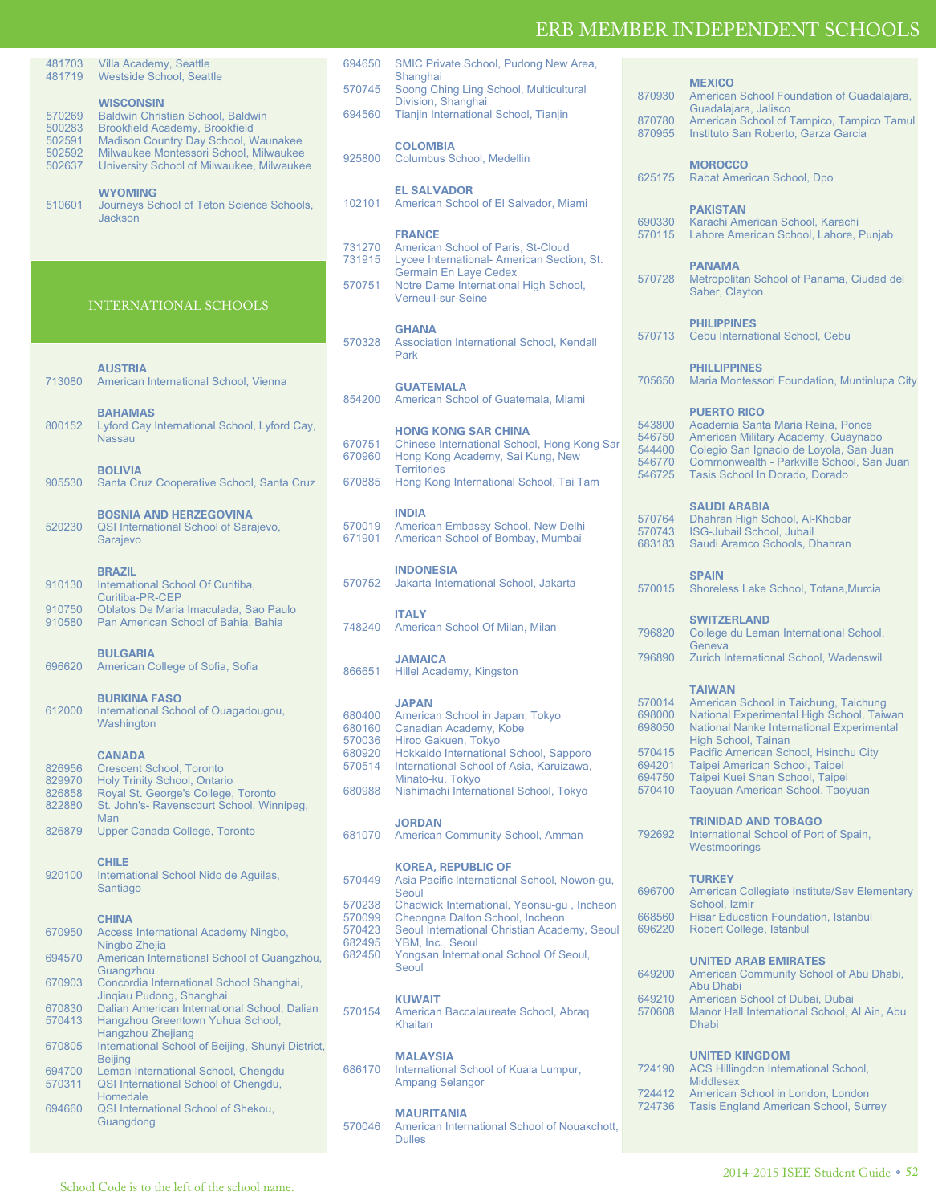870930 American School Foundation of Guadalajara,

**MEXICO**

| 481703<br>481719           | Villa Academy, Seattle<br><b>Westside School, Seattle</b>                                                                   | 694650                     | SMIC Private School, Pudong New Area,<br>Shanghai                                                         |
|----------------------------|-----------------------------------------------------------------------------------------------------------------------------|----------------------------|-----------------------------------------------------------------------------------------------------------|
|                            |                                                                                                                             | 570745                     | Soong Ching Ling School, Multicultural                                                                    |
| 570269<br>500283           | <b>WISCONSIN</b><br>Baldwin Christian School, Baldwin<br><b>Brookfield Academy, Brookfield</b>                              | 694560                     | Division, Shanghai<br>Tianjin International School, Tianjin                                               |
| 502591<br>502592<br>502637 | Madison Country Day School, Waunakee<br>Milwaukee Montessori School, Milwaukee<br>University School of Milwaukee, Milwaukee | 925800                     | <b>COLOMBIA</b><br>Columbus School, Medellin                                                              |
| 510601                     | <b>WYOMING</b><br>Journeys School of Teton Science Schools,<br><b>Jackson</b>                                               | 102101                     | <b>EL SALVADOR</b><br>American School of El Salvador, Miami                                               |
|                            |                                                                                                                             | 731270<br>731915           | <b>FRANCE</b><br>American School of Paris, St-Cloud<br>Lycee International- American Section, St          |
|                            | INTERNATIONAL SCHOOLS                                                                                                       | 570751                     | <b>Germain En Laye Cedex</b><br>Notre Dame International High School,<br>Verneuil-sur-Seine               |
|                            |                                                                                                                             |                            | <b>GHANA</b>                                                                                              |
|                            | <b>AUSTRIA</b>                                                                                                              | 570328                     | Association International School, Kendall<br>Park                                                         |
| 713080                     | American International School, Vienna<br><b>BAHAMAS</b>                                                                     | 854200                     | <b>GUATEMALA</b><br>American School of Guatemala, Miami                                                   |
| 800152                     | Lyford Cay International School, Lyford Cay,<br><b>Nassau</b>                                                               | 670751<br>670960           | <b>HONG KONG SAR CHINA</b><br>Chinese International School, Hong Kong<br>Hong Kong Academy, Sai Kung, New |
| 905530                     | <b>BOLIVIA</b><br>Santa Cruz Cooperative School, Santa Cruz                                                                 | 670885                     | <b>Territories</b><br>Hong Kong International School, Tai Tam                                             |
| 520230                     | <b>BOSNIA AND HERZEGOVINA</b><br>QSI International School of Sarajevo,<br>Sarajevo                                          | 570019<br>671901           | <b>INDIA</b><br>American Embassy School, New Delhi<br>American School of Bombay, Mumbai                   |
| 910130                     | <b>BRAZIL</b><br>International School Of Curitiba,<br>Curitiba-PR-CEP                                                       | 570752                     | <b>INDONESIA</b><br>Jakarta International School, Jakarta                                                 |
| 910750<br>910580           | Oblatos De Maria Imaculada, Sao Paulo<br>Pan American School of Bahia, Bahia                                                | 748240                     | <b>ITALY</b><br>American School Of Milan, Milan                                                           |
| 696620                     | <b>BULGARIA</b><br>American College of Sofia, Sofia                                                                         | 866651                     | <b>JAMAICA</b><br>Hillel Academy, Kingston                                                                |
| 612000                     | <b>BURKINA FASO</b><br>International School of Ouagadougou,<br>Washington                                                   | 680400<br>680160<br>570036 | <b>JAPAN</b><br>American School in Japan, Tokyo<br>Canadian Academy, Kobe<br>Hiroo Gakuen, Tokyo          |
| 826956<br>829970           | <b>CANADA</b><br><b>Crescent School, Toronto</b><br>Holy Trinity School, Ontario                                            | 680920<br>570514           | Hokkaido International School, Sapporo<br>International School of Asia, Karuizawa,<br>Minato-ku, Tokyo    |
| 826858<br>822880           | Royal St. George's College, Toronto<br>St. John's- Ravenscourt School, Winnipeg,<br>Man                                     | 680988                     | Nishimachi International School, Tokyo                                                                    |
| 826879                     | Upper Canada College, Toronto                                                                                               | 681070                     | <b>JORDAN</b><br>American Community School, Amman                                                         |
| 920100                     | <b>CHILE</b><br>International School Nido de Aguilas,<br>Santiago                                                           | 570449                     | <b>KOREA, REPUBLIC OF</b><br>Asia Pacific International School, Nowon-<br>Seoul                           |
|                            |                                                                                                                             | 570238<br>570099           | Chadwick International, Yeonsu-gu, Inch<br>Cheongna Dalton School, Incheon                                |
| 670950                     | <b>CHINA</b><br>Access International Academy Ningbo,                                                                        | 570423                     | Seoul International Christian Academy, S                                                                  |
| 694570                     | Ningbo Zhejia<br>American International School of Guangzhou,                                                                | 682495<br>682450           | YBM, Inc., Seoul<br>Yongsan International School Of Seoul,                                                |
| 670903                     | Guangzhou<br>Concordia International School Shanghai,                                                                       |                            | Seoul                                                                                                     |
| 670830<br>570413           | Jingiau Pudong, Shanghai<br>Dalian American International School, Dalian<br>Hangzhou Greentown Yuhua School,                | 570154                     | <b>KUWAIT</b><br>American Baccalaureate School, Abrag<br>Khaitan                                          |
| 670805                     | Hangzhou Zhejiang<br>International School of Beijing, Shunyi District,                                                      |                            |                                                                                                           |
| 694700<br>570311           | <b>Beijing</b><br>Leman International School, Chengdu<br>QSI International School of Chengdu,                               | 686170                     | <b>MALAYSIA</b><br>International School of Kuala Lumpur,<br><b>Ampang Selangor</b>                        |
| 694660                     | Homedale<br>QSI International School of Shekou,<br>Guangdong                                                                |                            | <b>MAURITANIA</b><br>570046 American International School of Nouakel                                      |

|                  |                                                                                    | 625175           | Rabat American School, Dpo                                               |
|------------------|------------------------------------------------------------------------------------|------------------|--------------------------------------------------------------------------|
|                  | <b>EL SALVADOR</b>                                                                 |                  |                                                                          |
| 102101           | American School of El Salvador, Miami                                              |                  | <b>PAKISTAN</b>                                                          |
|                  |                                                                                    | 690330           | Karachi American School, Karachi                                         |
| 731270           | <b>FRANCE</b><br>American School of Paris, St-Cloud                                | 570115           | Lahore American School, Lahore, Punja                                    |
| 731915           | Lycee International- American Section, St.                                         |                  |                                                                          |
|                  | <b>Germain En Laye Cedex</b>                                                       | 570728           | <b>PANAMA</b><br>Metropolitan School of Panama, Ciudad                   |
| 570751           | Notre Dame International High School,                                              |                  | Saber, Clayton                                                           |
|                  | Verneuil-sur-Seine                                                                 |                  |                                                                          |
|                  |                                                                                    |                  | <b>PHILIPPINES</b>                                                       |
| 570328           | <b>GHANA</b><br>Association International School, Kendall                          | 570713           | Cebu International School, Cebu                                          |
|                  | Park                                                                               |                  |                                                                          |
|                  |                                                                                    |                  | <b>PHILLIPPINES</b>                                                      |
|                  | <b>GUATEMALA</b>                                                                   | 705650           | Maria Montessori Foundation, Muntinlup                                   |
| 854200           | American School of Guatemala, Miami                                                |                  |                                                                          |
|                  |                                                                                    |                  | <b>PUERTO RICO</b>                                                       |
|                  | <b>HONG KONG SAR CHINA</b>                                                         | 543800<br>546750 | Academia Santa Maria Reina, Ponce<br>American Military Academy, Guaynabo |
| 670751           | Chinese International School, Hong Kong Sar                                        | 544400           | Colegio San Ignacio de Loyola, San Jua                                   |
| 670960           | Hong Kong Academy, Sai Kung, New<br><b>Territories</b>                             | 546770           | Commonwealth - Parkville School, San,                                    |
| 670885           | Hong Kong International School, Tai Tam                                            | 546725           | Tasis School In Dorado, Dorado                                           |
|                  |                                                                                    |                  |                                                                          |
|                  | <b>INDIA</b>                                                                       |                  | <b>SAUDI ARABIA</b>                                                      |
| 570019           | American Embassy School, New Delhi                                                 | 570764<br>570743 | Dhahran High School, Al-Khobar<br>ISG-Jubail School, Jubail              |
| 671901           | American School of Bombay, Mumbai                                                  | 683183           | Saudi Aramco Schools, Dhahran                                            |
|                  |                                                                                    |                  |                                                                          |
|                  | <b>INDONESIA</b>                                                                   |                  | <b>SPAIN</b>                                                             |
| 570752           | Jakarta International School, Jakarta                                              | 570015           | Shoreless Lake School, Totana, Murcia                                    |
|                  |                                                                                    |                  |                                                                          |
|                  | <b>ITALY</b>                                                                       |                  | <b>SWITZERLAND</b>                                                       |
| 748240           | American School Of Milan, Milan                                                    | 796820           | College du Leman International School,                                   |
|                  |                                                                                    | 796890           | Geneva                                                                   |
| 866651           | <b>JAMAICA</b><br>Hillel Academy, Kingston                                         |                  | Zurich International School, Wadenswil                                   |
|                  |                                                                                    |                  | <b>TAIWAN</b>                                                            |
|                  | <b>JAPAN</b>                                                                       | 570014           | American School in Taichung, Taichung                                    |
| 680400           | American School in Japan, Tokyo                                                    | 698000           | National Experimental High School, Taiv                                  |
| 680160           | Canadian Academy, Kobe                                                             | 698050           | <b>National Nanke International Experimen</b>                            |
| 570036           | Hiroo Gakuen, Tokyo                                                                |                  | High School, Tainan                                                      |
| 680920<br>570514 | Hokkaido International School, Sapporo<br>International School of Asia, Karuizawa, | 570415<br>694201 | Pacific American School, Hsinchu City<br>Taipei American School, Taipei  |
|                  | Minato-ku, Tokyo                                                                   | 694750           | Taipei Kuei Shan School, Taipei                                          |
| 680988           | Nishimachi International School, Tokyo                                             | 570410           | Taoyuan American School, Taoyuan                                         |
|                  |                                                                                    |                  |                                                                          |
|                  | <b>JORDAN</b>                                                                      |                  | <b>TRINIDAD AND TOBAGO</b>                                               |
| 681070           | American Community School, Amman                                                   | 792692           | International School of Port of Spain,                                   |
|                  |                                                                                    |                  | Westmoorings                                                             |
|                  | <b>KOREA, REPUBLIC OF</b>                                                          |                  | <b>TURKEY</b>                                                            |
| 570449           | Asia Pacific International School, Nowon-gu,<br>Seoul                              |                  | 696700 American Collegiate Institute/Sev Eleme                           |
| 570238           | Chadwick International, Yeonsu-gu, Incheon                                         |                  | School, Izmir                                                            |
| 570099           | Cheongna Dalton School, Incheon                                                    | 668560           | <b>Hisar Education Foundation, Istanbul</b>                              |
| 570423           | Seoul International Christian Academy, Seoul                                       | 696220           | Robert College, Istanbul                                                 |
| 682495<br>682450 | YBM, Inc., Seoul<br>Yongsan International School Of Seoul,                         |                  |                                                                          |
|                  | Seoul                                                                              |                  | <b>UNITED ARAB EMIRATES</b>                                              |
|                  |                                                                                    | 649200           | American Community School of Abu Dha<br>Abu Dhabi                        |
|                  | <b>KUWAIT</b>                                                                      | 649210           | American School of Dubai, Dubai                                          |
| 570154           | American Baccalaureate School, Abrag                                               | 570608           | Manor Hall International School, Al Ain,                                 |
|                  | Khaitan                                                                            |                  | <b>Dhabi</b>                                                             |
|                  |                                                                                    |                  |                                                                          |
|                  | <b>MALAYSIA</b>                                                                    |                  | <b>UNITED KINGDOM</b>                                                    |
| 686170           | International School of Kuala Lumpur,                                              | 724190           | <b>ACS Hillingdon International School,</b>                              |
|                  | <b>Ampang Selangor</b>                                                             | 724412           | <b>Middlesex</b><br>American School in London, London                    |
|                  |                                                                                    | 724736           | <b>Tasis England American School, Surrey</b>                             |
| 570046           | <b>MAURITANIA</b><br>American International School of Nouakchott,                  |                  |                                                                          |
|                  | <b>Dulles</b>                                                                      |                  |                                                                          |
|                  |                                                                                    |                  |                                                                          |
|                  |                                                                                    |                  |                                                                          |

| 870780<br>870955                                                   | Guadalajara, Jalisco<br>American School of Tampico, Tampico Tamul<br>Instituto San Roberto, Garza Garcia                                                                                                                                                                                                                  |
|--------------------------------------------------------------------|---------------------------------------------------------------------------------------------------------------------------------------------------------------------------------------------------------------------------------------------------------------------------------------------------------------------------|
| 625175                                                             | <b>MOROCCO</b><br>Rabat American School, Dpo                                                                                                                                                                                                                                                                              |
| 690330<br>570115                                                   | <b>PAKISTAN</b><br>Karachi American School, Karachi<br>Lahore American School, Lahore, Punjab                                                                                                                                                                                                                             |
| 570728                                                             | <b>PANAMA</b><br>Metropolitan School of Panama, Ciudad del<br>Saber, Clayton                                                                                                                                                                                                                                              |
| 570713                                                             | <b>PHILIPPINES</b><br>Cebu International School, Cebu                                                                                                                                                                                                                                                                     |
| 705650                                                             | <b>PHILLIPPINES</b><br>Maria Montessori Foundation, Muntinlupa City                                                                                                                                                                                                                                                       |
| 543800<br>546750<br>544400<br>546770<br>546725                     | <b>PUERTO RICO</b><br>Academia Santa Maria Reina, Ponce<br>American Military Academy, Guaynabo<br>Colegio San Ignacio de Loyola, San Juan<br>Commonwealth - Parkville School, San Juan<br>Tasis School In Dorado, Dorado                                                                                                  |
| 570764<br>570743<br>683183                                         | <b>SAUDI ARABIA</b><br>Dhahran High School, Al-Khobar<br>ISG-Jubail School, Jubail<br>Saudi Aramco Schools, Dhahran                                                                                                                                                                                                       |
| 570015                                                             | <b>SPAIN</b><br>Shoreless Lake School, Totana, Murcia                                                                                                                                                                                                                                                                     |
| 796820<br>796890                                                   | <b>SWITZERLAND</b><br>College du Leman International School,<br>Geneva<br>Zurich International School, Wadenswil                                                                                                                                                                                                          |
| 570014<br>698000<br>698050<br>570415<br>694201<br>694750<br>570410 | <b>TAIWAN</b><br>American School in Taichung, Taichung<br>National Experimental High School, Taiwan<br>National Nanke International Experimental<br>High School, Tainan<br>Pacific American School, Hsinchu City<br>Taipei American School, Taipei<br>Taipei Kuei Shan School, Taipei<br>Taoyuan American School, Taoyuan |
| 792692                                                             | <b>TRINIDAD AND TOBAGO</b><br>International School of Port of Spain,<br>Westmoorings                                                                                                                                                                                                                                      |
| 696700<br>668560<br>696220                                         | <b>TURKEY</b><br>American Collegiate Institute/Sev Elementary<br>School, Izmir<br><b>Hisar Education Foundation, Istanbul</b><br>Robert College, Istanbul                                                                                                                                                                 |
| 649200<br>649210<br>570608                                         | <b>UNITED ARAB EMIRATES</b><br>American Community School of Abu Dhabi,<br><b>Abu Dhabi</b><br>American School of Dubai, Dubai<br>Manor Hall International School, Al Ain, Abu<br><b>Dhabi</b>                                                                                                                             |
|                                                                    | <b>UNITED KINGDOM</b>                                                                                                                                                                                                                                                                                                     |